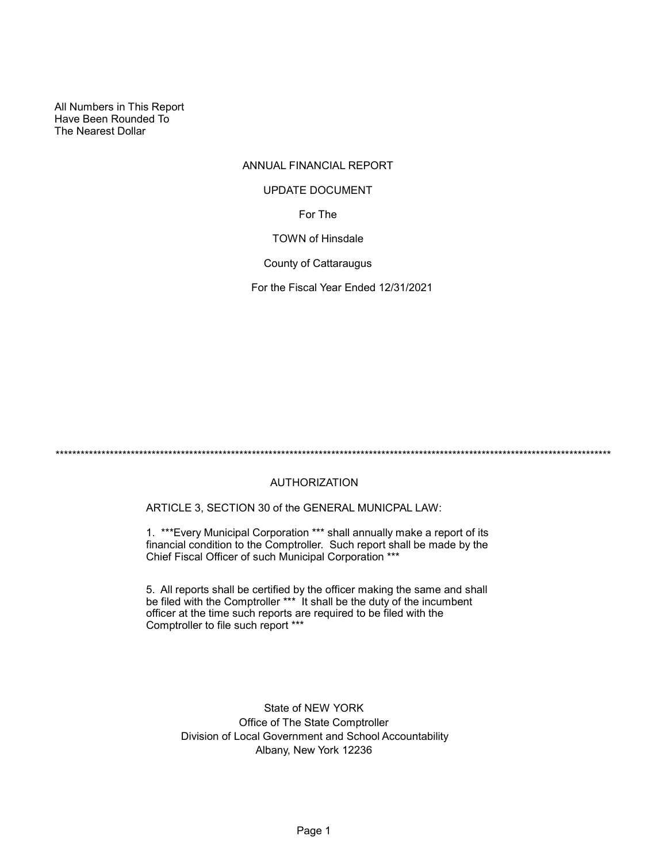All Numbers in This Report Have Been Rounded To The Nearest Dollar

# ANNUAL FINANCIAL REPORT

#### UPDATE DOCUMENT

For The

TOWN of Hinsdale

County of Cattaraugus

For the Fiscal Year Ended 12/31/2021

\*\*\*\*\*\*\*\*\*\*\*\*\*\*\*\*\*\*\*\*\*\*\*\*\*\*\*\*\*\*\*\*\*\*\*\*\*\*\*\*\*\*\*\*\*\*\*\*\*\*\*\*\*\*\*\*\*\*\*\*\*\*\*\*\*\*\*\*\*\*\*\*\*\*\*\*\*\*\*\*\*\*\*\*\*\*\*\*\*\*\*\*\*\*\*\*\*\*\*\*\*\*\*\*\*\*\*\*\*\*\*\*\*\*\*\*\*\*\*\*\*\*\*\*\*\*\*\*\*\*\*\*\*

### AUTHORIZATION

ARTICLE 3, SECTION 30 of the GENERAL MUNICPAL LAW:

1. \*\*\*Every Municipal Corporation \*\*\* shall annually make a report of its financial condition to the Comptroller. Such report shall be made by the Chief Fiscal Officer of such Municipal Corporation \*\*\*

5. All reports shall be certified by the officer making the same and shall be filed with the Comptroller \*\*\* It shall be the duty of the incumbent officer at the time such reports are required to be filed with the Comptroller to file such report \*\*\*

> State of NEW YORK Office of The State Comptroller Division of Local Government and School Accountability Albany, New York 12236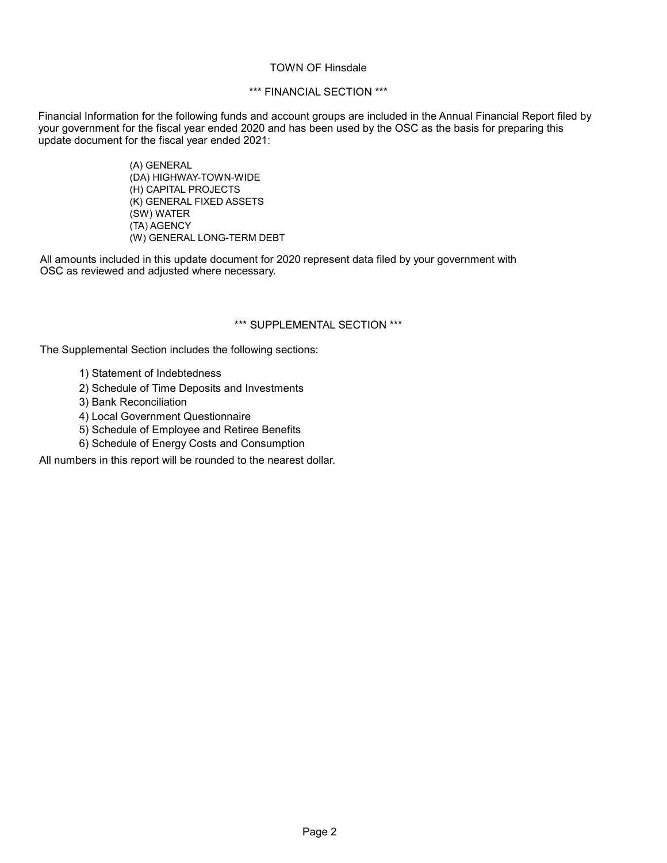#### TOWN OF Hinsdale

### \*\*\* FINANCIAL SECTION \*\*\*

Financial Information for the following funds and account groups are included in the Annual Financial Report filed by your government for the fiscal year ended 2020 and has been used by the OSC as the basis for preparing this update document for the fiscal year ended 2021:

> (A) GENERAL (DA) HIGHWAY-TOWN-WIDE (H) CAPITAL PROJECTS (K) GENERAL FIXED ASSETS (SW) WATER (TA) AGENCY (W) GENERAL LONG-TERM DEBT

All amounts included in this update document for 2020 represent data filed by your government with OSC as reviewed and adjusted where necessary.

### \*\*\* SUPPLEMENTAL SECTION \*\*\*

The Supplemental Section includes the following sections:

- 1) Statement of Indebtedness
- 2) Schedule of Time Deposits and Investments
- 3) Bank Reconciliation
- 4) Local Government Questionnaire
- 5) Schedule of Employee and Retiree Benefits
- 6) Schedule of Energy Costs and Consumption

All numbers in this report will be rounded to the nearest dollar.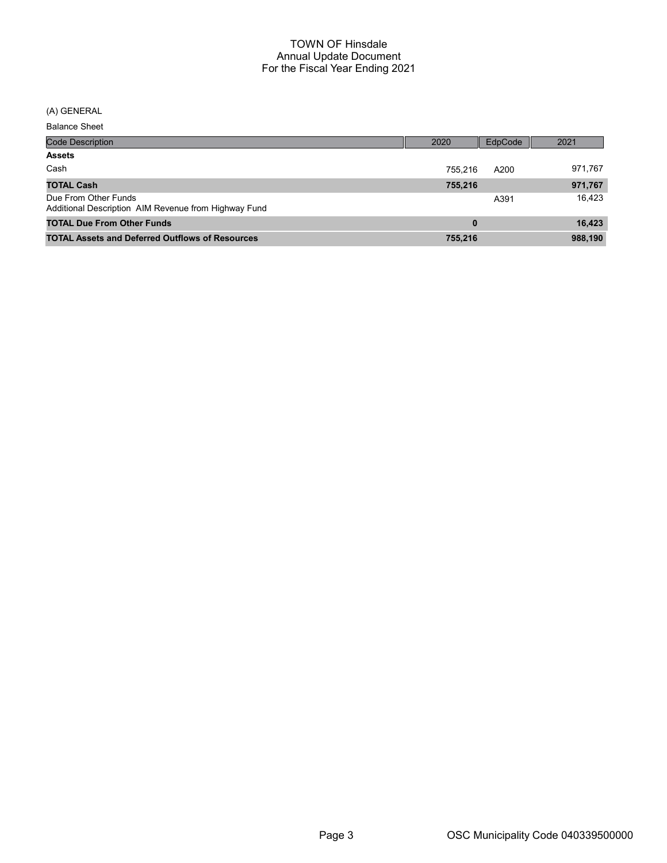(A) GENERAL

Balance Sheet

| <b>Code Description</b>                                                      | 2020     | <b>EdpCode</b> | 2021    |
|------------------------------------------------------------------------------|----------|----------------|---------|
| <b>Assets</b>                                                                |          |                |         |
| Cash                                                                         | 755.216  | A200           | 971,767 |
| <b>TOTAL Cash</b>                                                            | 755,216  |                | 971,767 |
| Due From Other Funds<br>Additional Description AIM Revenue from Highway Fund |          | A391           | 16.423  |
| <b>TOTAL Due From Other Funds</b>                                            | $\bf{0}$ |                | 16.423  |
| <b>TOTAL Assets and Deferred Outflows of Resources</b>                       | 755,216  |                | 988,190 |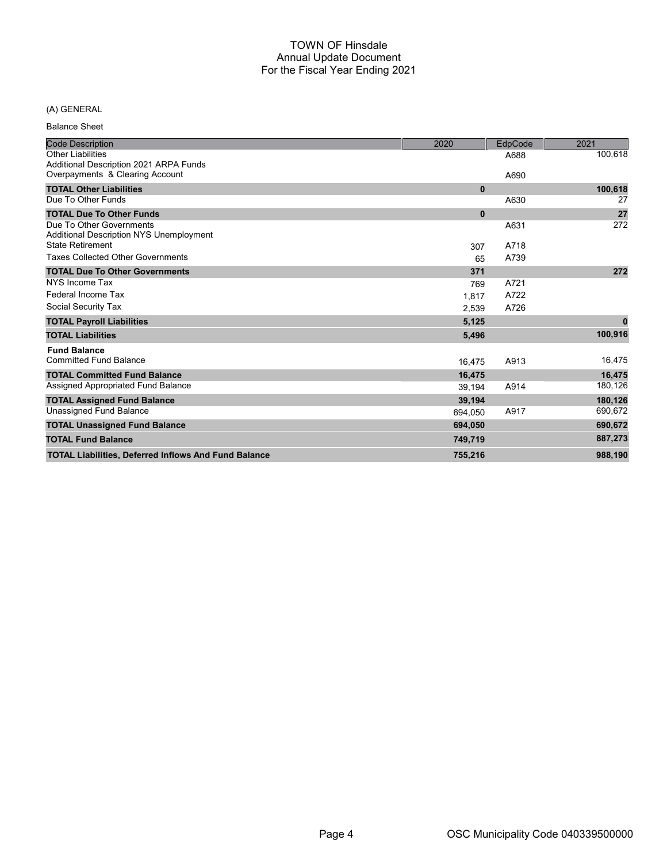### (A) GENERAL

Balance Sheet

| <b>Code Description</b>                                                    | 2020     | EdpCode | 2021         |
|----------------------------------------------------------------------------|----------|---------|--------------|
| <b>Other Liabilities</b><br>Additional Description 2021 ARPA Funds         |          | A688    | 100,618      |
| Overpayments & Clearing Account                                            |          | A690    |              |
| <b>TOTAL Other Liabilities</b>                                             | $\bf{0}$ |         | 100,618      |
| Due To Other Funds                                                         |          | A630    | 27           |
| <b>TOTAL Due To Other Funds</b>                                            | $\bf{0}$ |         | 27           |
| Due To Other Governments<br><b>Additional Description NYS Unemployment</b> |          | A631    | 272          |
| <b>State Retirement</b>                                                    | 307      | A718    |              |
| <b>Taxes Collected Other Governments</b>                                   | 65       | A739    |              |
| <b>TOTAL Due To Other Governments</b>                                      | 371      |         | 272          |
| NYS Income Tax                                                             | 769      | A721    |              |
| Federal Income Tax                                                         | 1,817    | A722    |              |
| Social Security Tax                                                        | 2.539    | A726    |              |
| <b>TOTAL Payroll Liabilities</b>                                           | 5,125    |         | $\mathbf{0}$ |
| <b>TOTAL Liabilities</b>                                                   | 5,496    |         | 100,916      |
| <b>Fund Balance</b>                                                        |          |         |              |
| <b>Committed Fund Balance</b>                                              | 16.475   | A913    | 16,475       |
| <b>TOTAL Committed Fund Balance</b>                                        | 16,475   |         | 16.475       |
| Assigned Appropriated Fund Balance                                         | 39.194   | A914    | 180,126      |
| <b>TOTAL Assigned Fund Balance</b>                                         | 39,194   |         | 180,126      |
| Unassigned Fund Balance                                                    | 694.050  | A917    | 690,672      |
| <b>TOTAL Unassigned Fund Balance</b>                                       | 694,050  |         | 690,672      |
| <b>TOTAL Fund Balance</b>                                                  | 749,719  |         | 887,273      |
| <b>TOTAL Liabilities, Deferred Inflows And Fund Balance</b>                | 755,216  |         | 988,190      |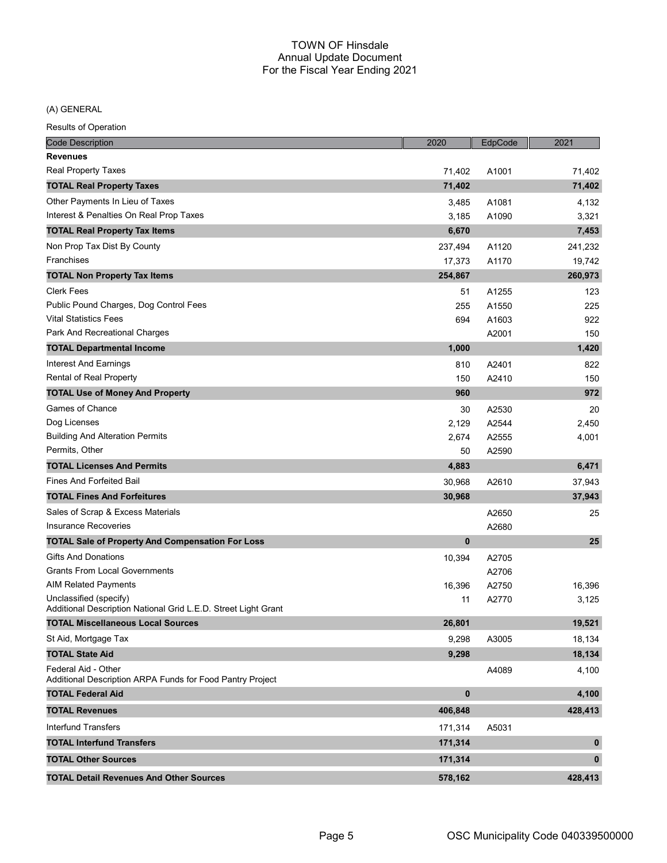(A) GENERAL

| <b>Code Description</b>                                                                  | 2020     | EdpCode | 2021         |
|------------------------------------------------------------------------------------------|----------|---------|--------------|
| <b>Revenues</b>                                                                          |          |         |              |
| <b>Real Property Taxes</b>                                                               | 71,402   | A1001   | 71,402       |
| <b>TOTAL Real Property Taxes</b>                                                         | 71,402   |         | 71,402       |
| Other Payments In Lieu of Taxes                                                          | 3,485    | A1081   | 4,132        |
| Interest & Penalties On Real Prop Taxes                                                  | 3,185    | A1090   | 3,321        |
| <b>TOTAL Real Property Tax Items</b>                                                     | 6,670    |         | 7,453        |
| Non Prop Tax Dist By County                                                              | 237,494  | A1120   | 241,232      |
| Franchises                                                                               | 17,373   | A1170   | 19,742       |
| <b>TOTAL Non Property Tax Items</b>                                                      | 254,867  |         | 260,973      |
| <b>Clerk Fees</b>                                                                        | 51       | A1255   | 123          |
| Public Pound Charges, Dog Control Fees                                                   | 255      | A1550   | 225          |
| <b>Vital Statistics Fees</b>                                                             | 694      | A1603   | 922          |
| Park And Recreational Charges                                                            |          | A2001   | 150          |
| <b>TOTAL Departmental Income</b>                                                         | 1,000    |         | 1,420        |
| <b>Interest And Earnings</b>                                                             | 810      | A2401   | 822          |
| Rental of Real Property                                                                  | 150      | A2410   | 150          |
| <b>TOTAL Use of Money And Property</b>                                                   | 960      |         | 972          |
| <b>Games of Chance</b>                                                                   | 30       | A2530   | 20           |
| Dog Licenses                                                                             | 2,129    | A2544   | 2,450        |
| <b>Building And Alteration Permits</b>                                                   | 2,674    | A2555   | 4,001        |
| Permits, Other                                                                           | 50       | A2590   |              |
| <b>TOTAL Licenses And Permits</b>                                                        | 4,883    |         | 6,471        |
| <b>Fines And Forfeited Bail</b>                                                          | 30,968   | A2610   | 37,943       |
| <b>TOTAL Fines And Forfeitures</b>                                                       | 30,968   |         | 37,943       |
| Sales of Scrap & Excess Materials                                                        |          | A2650   | 25           |
| Insurance Recoveries                                                                     |          | A2680   |              |
| <b>TOTAL Sale of Property And Compensation For Loss</b>                                  | $\bf{0}$ |         | 25           |
| <b>Gifts And Donations</b>                                                               | 10,394   | A2705   |              |
| <b>Grants From Local Governments</b>                                                     |          | A2706   |              |
| <b>AIM Related Payments</b>                                                              | 16,396   | A2750   | 16,396       |
| Unclassified (specify)<br>Additional Description National Grid L.E.D. Street Light Grant | 11       | A2770   | 3,125        |
| <b>TOTAL Miscellaneous Local Sources</b>                                                 | 26,801   |         | 19,521       |
| St Aid, Mortgage Tax                                                                     | 9,298    | A3005   | 18,134       |
| <b>TOTAL State Aid</b>                                                                   | 9,298    |         | 18,134       |
| Federal Aid - Other<br>Additional Description ARPA Funds for Food Pantry Project         |          | A4089   | 4,100        |
| <b>TOTAL Federal Aid</b>                                                                 | 0        |         | 4,100        |
| <b>TOTAL Revenues</b>                                                                    | 406,848  |         | 428,413      |
| <b>Interfund Transfers</b>                                                               | 171,314  | A5031   |              |
| <b>TOTAL Interfund Transfers</b>                                                         | 171,314  |         | $\mathbf 0$  |
| <b>TOTAL Other Sources</b>                                                               | 171,314  |         | $\mathbf{0}$ |
| <b>TOTAL Detail Revenues And Other Sources</b>                                           | 578,162  |         | 428,413      |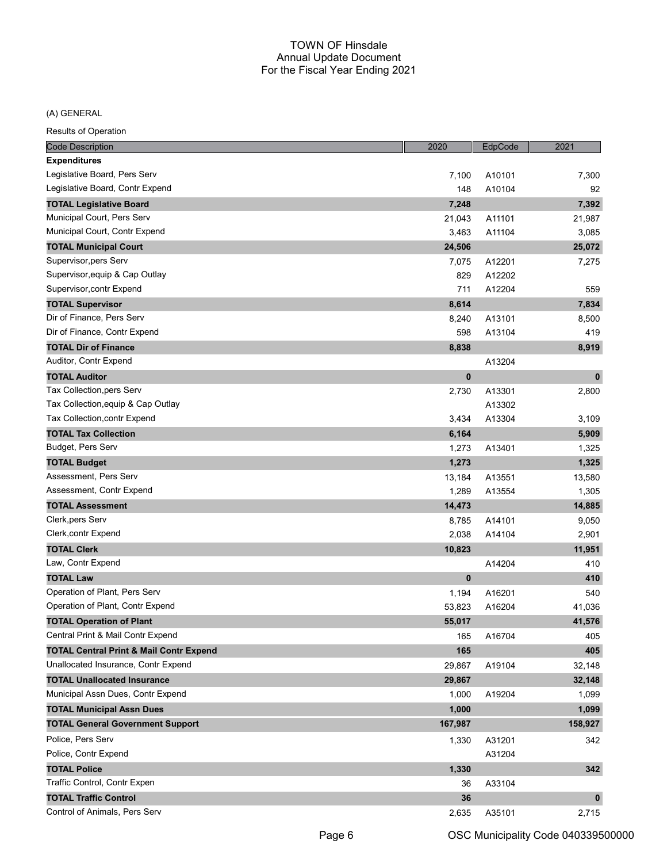#### (A) GENERAL

| <b>Code Description</b>                             | 2020    | EdpCode          | 2021        |
|-----------------------------------------------------|---------|------------------|-------------|
| <b>Expenditures</b>                                 |         |                  |             |
| Legislative Board, Pers Serv                        | 7,100   | A10101           | 7,300       |
| Legislative Board, Contr Expend                     | 148     | A10104           | 92          |
| <b>TOTAL Legislative Board</b>                      | 7,248   |                  | 7,392       |
| Municipal Court, Pers Serv                          | 21,043  | A11101           | 21,987      |
| Municipal Court, Contr Expend                       | 3,463   | A11104           | 3,085       |
| <b>TOTAL Municipal Court</b>                        | 24,506  |                  | 25,072      |
| Supervisor, pers Serv                               | 7,075   | A12201           | 7,275       |
| Supervisor, equip & Cap Outlay                      | 829     | A12202           |             |
| Supervisor, contr Expend                            | 711     | A12204           | 559         |
| <b>TOTAL Supervisor</b>                             | 8,614   |                  | 7,834       |
| Dir of Finance, Pers Serv                           | 8,240   | A13101           | 8,500       |
| Dir of Finance, Contr Expend                        | 598     | A13104           | 419         |
| <b>TOTAL Dir of Finance</b>                         | 8,838   |                  | 8,919       |
| Auditor, Contr Expend                               |         | A13204           |             |
| <b>TOTAL Auditor</b>                                | 0       |                  | $\mathbf 0$ |
| Tax Collection, pers Serv                           | 2,730   | A13301           | 2,800       |
| Tax Collection, equip & Cap Outlay                  |         | A13302           |             |
| Tax Collection, contr Expend                        | 3,434   | A13304           | 3,109       |
| <b>TOTAL Tax Collection</b>                         | 6,164   |                  | 5,909       |
| Budget, Pers Serv                                   | 1,273   | A13401           | 1,325       |
| <b>TOTAL Budget</b>                                 | 1,273   |                  | 1,325       |
| Assessment, Pers Serv                               | 13,184  | A13551           | 13,580      |
| Assessment, Contr Expend                            | 1,289   | A13554           | 1,305       |
| <b>TOTAL Assessment</b>                             | 14,473  |                  | 14,885      |
| Clerk, pers Serv                                    | 8,785   | A14101           | 9,050       |
| Clerk, contr Expend                                 | 2,038   | A14104           | 2,901       |
| <b>TOTAL Clerk</b>                                  | 10,823  |                  | 11,951      |
| Law, Contr Expend                                   |         | A14204           | 410         |
| <b>TOTAL Law</b>                                    | 0       |                  | 410         |
| Operation of Plant, Pers Serv                       | 1,194   | A16201           | 540         |
| Operation of Plant, Contr Expend                    | 53,823  | A16204           | 41,036      |
| <b>TOTAL Operation of Plant</b>                     | 55,017  |                  | 41,576      |
| Central Print & Mail Contr Expend                   | 165     | A16704           | 405         |
| <b>TOTAL Central Print &amp; Mail Contr Expend</b>  | 165     |                  | 405         |
| Unallocated Insurance, Contr Expend                 | 29,867  | A19104           | 32,148      |
| <b>TOTAL Unallocated Insurance</b>                  | 29,867  |                  | 32,148      |
| Municipal Assn Dues, Contr Expend                   | 1,000   | A19204           | 1,099       |
| <b>TOTAL Municipal Assn Dues</b>                    | 1,000   |                  | 1,099       |
| <b>TOTAL General Government Support</b>             | 167,987 |                  | 158,927     |
|                                                     |         |                  |             |
| Police, Pers Serv<br>Police, Contr Expend           | 1,330   | A31201<br>A31204 | 342         |
|                                                     |         |                  |             |
| <b>TOTAL Police</b><br>Traffic Control, Contr Expen | 1,330   |                  | 342         |
|                                                     | 36      | A33104           |             |
| <b>TOTAL Traffic Control</b>                        | 36      |                  | $\mathbf 0$ |
| Control of Animals, Pers Serv                       | 2,635   | A35101           | 2,715       |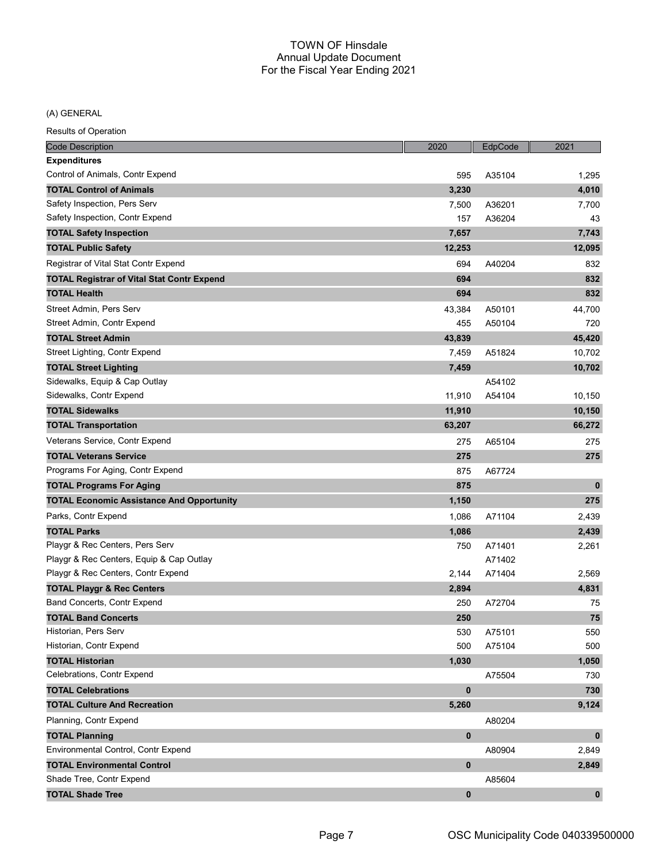(A) GENERAL

| <b>Code Description</b>                           | 2020        | EdpCode | 2021        |
|---------------------------------------------------|-------------|---------|-------------|
| <b>Expenditures</b>                               |             |         |             |
| Control of Animals, Contr Expend                  | 595         | A35104  | 1,295       |
| <b>TOTAL Control of Animals</b>                   | 3,230       |         | 4,010       |
| Safety Inspection, Pers Serv                      | 7,500       | A36201  | 7,700       |
| Safety Inspection, Contr Expend                   | 157         | A36204  | 43          |
| <b>TOTAL Safety Inspection</b>                    | 7,657       |         | 7,743       |
| <b>TOTAL Public Safety</b>                        | 12,253      |         | 12,095      |
| Registrar of Vital Stat Contr Expend              | 694         | A40204  | 832         |
| <b>TOTAL Registrar of Vital Stat Contr Expend</b> | 694         |         | 832         |
| <b>TOTAL Health</b>                               | 694         |         | 832         |
| Street Admin, Pers Serv                           | 43,384      | A50101  | 44,700      |
| Street Admin, Contr Expend                        | 455         | A50104  | 720         |
| <b>TOTAL Street Admin</b>                         | 43,839      |         | 45,420      |
| Street Lighting, Contr Expend                     | 7,459       | A51824  | 10,702      |
| <b>TOTAL Street Lighting</b>                      | 7,459       |         | 10,702      |
| Sidewalks, Equip & Cap Outlay                     |             | A54102  |             |
| Sidewalks, Contr Expend                           | 11,910      | A54104  | 10,150      |
| <b>TOTAL Sidewalks</b>                            | 11,910      |         | 10,150      |
| <b>TOTAL Transportation</b>                       | 63,207      |         | 66,272      |
| Veterans Service, Contr Expend                    | 275         | A65104  | 275         |
| <b>TOTAL Veterans Service</b>                     | 275         |         | 275         |
| Programs For Aging, Contr Expend                  | 875         | A67724  |             |
| <b>TOTAL Programs For Aging</b>                   | 875         |         | $\mathbf 0$ |
| <b>TOTAL Economic Assistance And Opportunity</b>  | 1,150       |         | 275         |
| Parks, Contr Expend                               | 1,086       | A71104  | 2,439       |
| <b>TOTAL Parks</b>                                | 1,086       |         | 2,439       |
| Playgr & Rec Centers, Pers Serv                   | 750         | A71401  | 2,261       |
| Playgr & Rec Centers, Equip & Cap Outlay          |             | A71402  |             |
| Playgr & Rec Centers, Contr Expend                | 2,144       | A71404  | 2,569       |
| <b>TOTAL Playgr &amp; Rec Centers</b>             | 2,894       |         | 4,831       |
| Band Concerts, Contr Expend                       | 250         | A72704  | 75          |
| <b>TOTAL Band Concerts</b>                        | 250         |         | 75          |
| Historian, Pers Serv                              | 530         | A75101  | 550         |
| Historian, Contr Expend                           | 500         | A75104  | 500         |
| <b>TOTAL Historian</b>                            | 1,030       |         | 1,050       |
| Celebrations, Contr Expend                        |             | A75504  | 730         |
| <b>TOTAL Celebrations</b>                         | $\bf{0}$    |         | 730         |
| <b>TOTAL Culture And Recreation</b>               | 5,260       |         | 9,124       |
| Planning, Contr Expend                            |             | A80204  |             |
| <b>TOTAL Planning</b>                             | $\mathbf 0$ |         | $\mathbf 0$ |
| Environmental Control, Contr Expend               |             | A80904  | 2,849       |
| <b>TOTAL Environmental Control</b>                | $\bf{0}$    |         | 2,849       |
| Shade Tree, Contr Expend                          |             | A85604  |             |
| <b>TOTAL Shade Tree</b>                           | $\bf{0}$    |         | $\mathbf 0$ |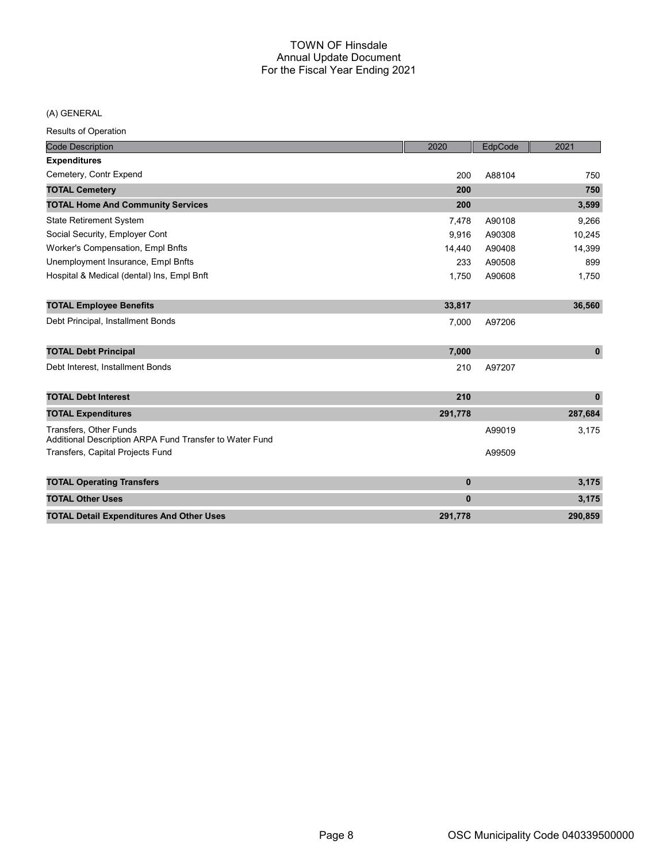#### (A) GENERAL

| <b>Code Description</b>                                                                  | 2020         | EdpCode | 2021         |
|------------------------------------------------------------------------------------------|--------------|---------|--------------|
| <b>Expenditures</b>                                                                      |              |         |              |
| Cemetery, Contr Expend                                                                   | 200          | A88104  | 750          |
| <b>TOTAL Cemetery</b>                                                                    | 200          |         | 750          |
| <b>TOTAL Home And Community Services</b>                                                 | 200          |         | 3,599        |
| <b>State Retirement System</b>                                                           | 7,478        | A90108  | 9,266        |
| Social Security, Employer Cont                                                           | 9,916        | A90308  | 10,245       |
| Worker's Compensation, Empl Bnfts                                                        | 14.440       | A90408  | 14,399       |
| Unemployment Insurance, Empl Bnfts                                                       | 233          | A90508  | 899          |
| Hospital & Medical (dental) Ins, Empl Bnft                                               | 1,750        | A90608  | 1,750        |
| <b>TOTAL Employee Benefits</b>                                                           | 33,817       |         | 36,560       |
| Debt Principal, Installment Bonds                                                        | 7,000        | A97206  |              |
| <b>TOTAL Debt Principal</b>                                                              | 7,000        |         | $\mathbf{0}$ |
| Debt Interest, Installment Bonds                                                         | 210          | A97207  |              |
| <b>TOTAL Debt Interest</b>                                                               | 210          |         | $\mathbf{0}$ |
| <b>TOTAL Expenditures</b>                                                                | 291,778      |         | 287,684      |
| <b>Transfers. Other Funds</b><br>Additional Description ARPA Fund Transfer to Water Fund |              | A99019  | 3,175        |
| Transfers, Capital Projects Fund                                                         |              | A99509  |              |
| <b>TOTAL Operating Transfers</b>                                                         | $\bf{0}$     |         | 3,175        |
| <b>TOTAL Other Uses</b>                                                                  | $\mathbf{0}$ |         | 3,175        |
| <b>TOTAL Detail Expenditures And Other Uses</b>                                          | 291,778      |         | 290,859      |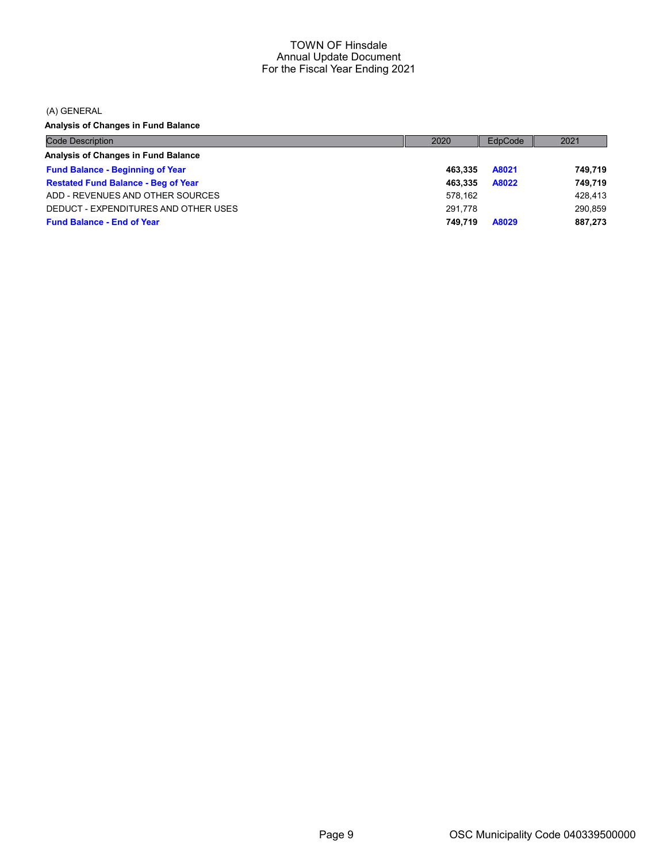(A) GENERAL

Analysis of Changes in Fund Balance

| <b>Code Description</b>                    | 2020    | EdpCode | 2021    |
|--------------------------------------------|---------|---------|---------|
| Analysis of Changes in Fund Balance        |         |         |         |
| <b>Fund Balance - Beginning of Year</b>    | 463.335 | A8021   | 749,719 |
| <b>Restated Fund Balance - Beg of Year</b> | 463.335 | A8022   | 749.719 |
| ADD - REVENUES AND OTHER SOURCES           | 578.162 |         | 428.413 |
| DEDUCT - EXPENDITURES AND OTHER USES       | 291.778 |         | 290.859 |
| <b>Fund Balance - End of Year</b>          | 749.719 | A8029   | 887,273 |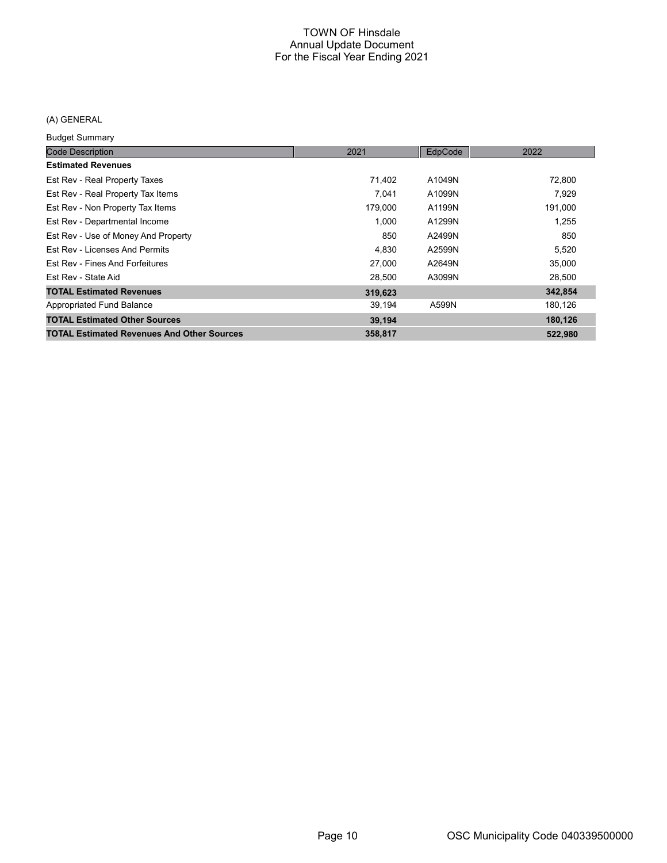### (A) GENERAL

Budget Summary

| <b>Code Description</b>                           | 2021    | EdpCode | 2022    |
|---------------------------------------------------|---------|---------|---------|
| <b>Estimated Revenues</b>                         |         |         |         |
| Est Rev - Real Property Taxes                     | 71,402  | A1049N  | 72,800  |
| Est Rev - Real Property Tax Items                 | 7.041   | A1099N  | 7,929   |
| Est Rev - Non Property Tax Items                  | 179,000 | A1199N  | 191,000 |
| Est Rev - Departmental Income                     | 1,000   | A1299N  | 1,255   |
| Est Rev - Use of Money And Property               | 850     | A2499N  | 850     |
| Est Rev - Licenses And Permits                    | 4,830   | A2599N  | 5,520   |
| Est Rev - Fines And Forfeitures                   | 27,000  | A2649N  | 35,000  |
| Est Rev - State Aid                               | 28,500  | A3099N  | 28,500  |
| <b>TOTAL Estimated Revenues</b>                   | 319,623 |         | 342,854 |
| Appropriated Fund Balance                         | 39,194  | A599N   | 180,126 |
| <b>TOTAL Estimated Other Sources</b>              | 39,194  |         | 180,126 |
| <b>TOTAL Estimated Revenues And Other Sources</b> | 358,817 |         | 522.980 |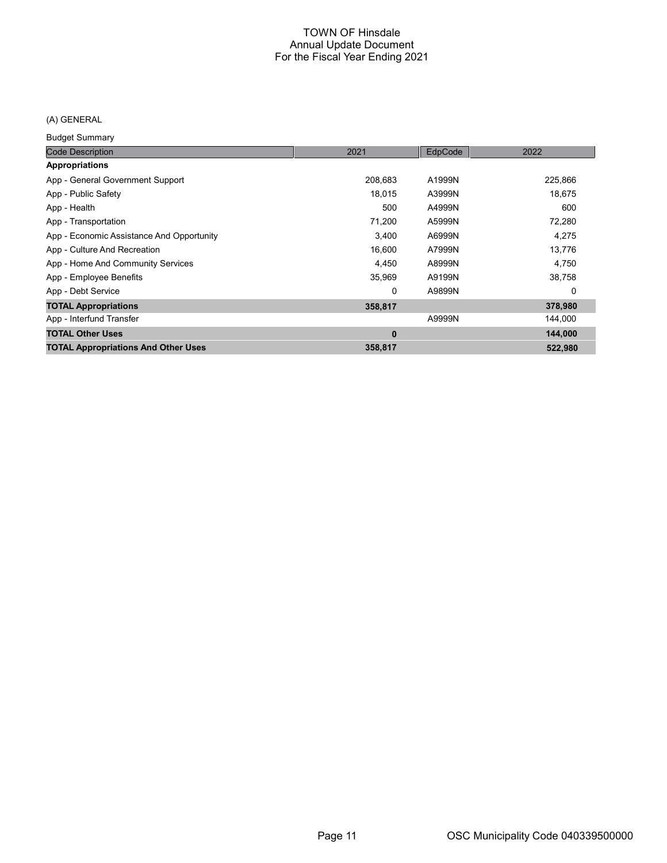(A) GENERAL

Budget Summary

| <b>Code Description</b>                    | 2021     | EdpCode | 2022    |
|--------------------------------------------|----------|---------|---------|
| <b>Appropriations</b>                      |          |         |         |
| App - General Government Support           | 208.683  | A1999N  | 225,866 |
| App - Public Safety                        | 18,015   | A3999N  | 18,675  |
| App - Health                               | 500      | A4999N  | 600     |
| App - Transportation                       | 71,200   | A5999N  | 72,280  |
| App - Economic Assistance And Opportunity  | 3,400    | A6999N  | 4,275   |
| App - Culture And Recreation               | 16,600   | A7999N  | 13,776  |
| App - Home And Community Services          | 4,450    | A8999N  | 4,750   |
| App - Employee Benefits                    | 35,969   | A9199N  | 38,758  |
| App - Debt Service                         | 0        | A9899N  | 0       |
| <b>TOTAL Appropriations</b>                | 358,817  |         | 378,980 |
| App - Interfund Transfer                   |          | A9999N  | 144,000 |
| <b>TOTAL Other Uses</b>                    | $\bf{0}$ |         | 144,000 |
| <b>TOTAL Appropriations And Other Uses</b> | 358,817  |         | 522.980 |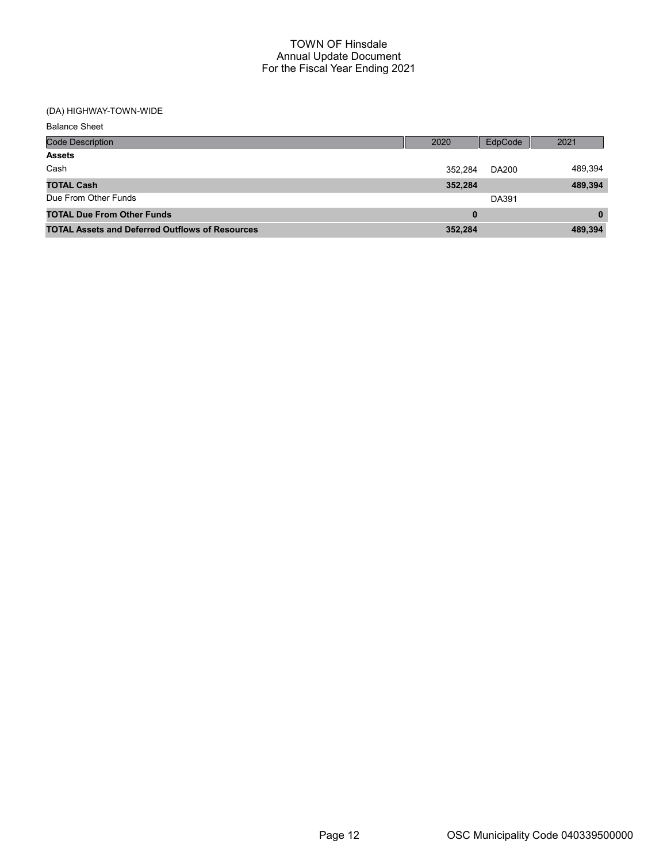| <b>Balance Sheet</b>                                   |         |         |              |
|--------------------------------------------------------|---------|---------|--------------|
| <b>Code Description</b>                                | 2020    | EdpCode | 2021         |
| <b>Assets</b>                                          |         |         |              |
| Cash                                                   | 352.284 | DA200   | 489,394      |
| <b>TOTAL Cash</b>                                      | 352,284 |         | 489,394      |
| Due From Other Funds                                   |         | DA391   |              |
| <b>TOTAL Due From Other Funds</b>                      | 0       |         | $\mathbf{0}$ |
| <b>TOTAL Assets and Deferred Outflows of Resources</b> | 352,284 |         | 489,394      |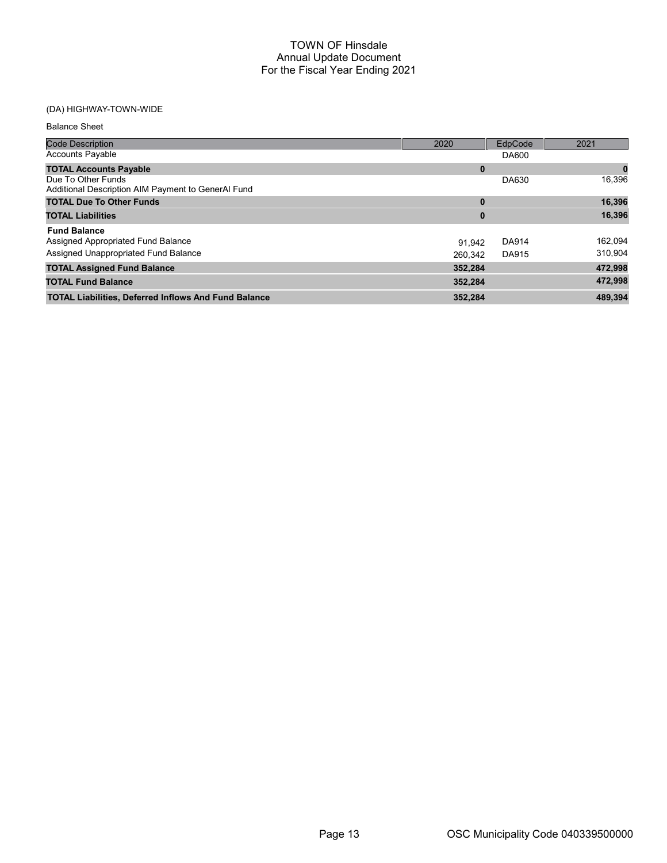| <b>Balance Sheet</b>                                                                              |                   |                       |                    |
|---------------------------------------------------------------------------------------------------|-------------------|-----------------------|--------------------|
| <b>Code Description</b>                                                                           | 2020              | EdpCode               | 2021               |
| <b>Accounts Payable</b>                                                                           |                   | DA600                 |                    |
| <b>TOTAL Accounts Payable</b>                                                                     | $\bf{0}$          |                       |                    |
| Due To Other Funds<br>Additional Description AIM Payment to GenerAl Fund                          |                   | DA630                 | 16,396             |
| <b>TOTAL Due To Other Funds</b>                                                                   | $\bf{0}$          |                       | 16,396             |
| <b>TOTAL Liabilities</b>                                                                          | $\bf{0}$          |                       | 16,396             |
| <b>Fund Balance</b><br>Assigned Appropriated Fund Balance<br>Assigned Unappropriated Fund Balance | 91.942<br>260.342 | <b>DA914</b><br>DA915 | 162,094<br>310,904 |
| <b>TOTAL Assigned Fund Balance</b>                                                                | 352.284           |                       | 472,998            |
| <b>TOTAL Fund Balance</b>                                                                         | 352,284           |                       | 472,998            |
| <b>TOTAL Liabilities, Deferred Inflows And Fund Balance</b>                                       | 352,284           |                       | 489,394            |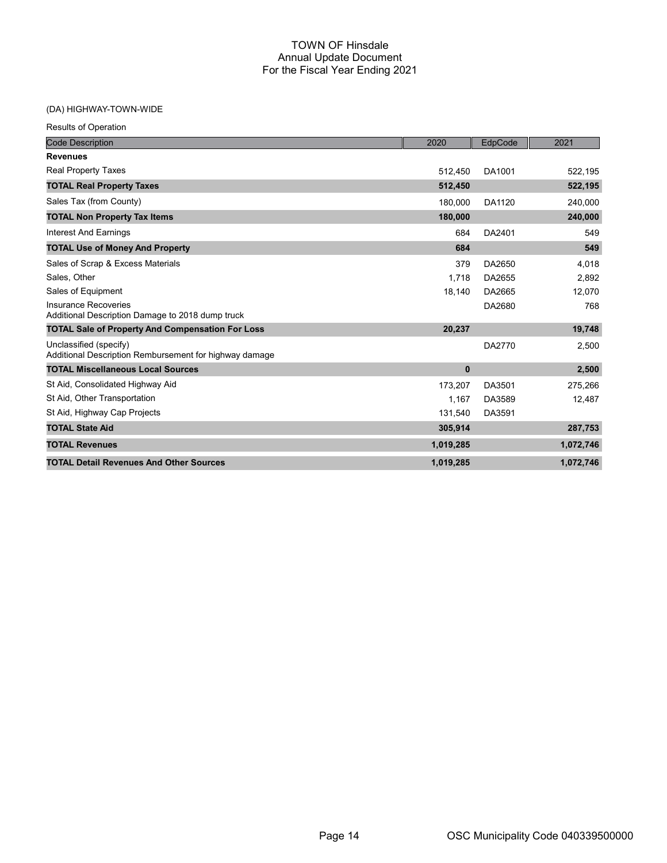|  | <b>Results of Operation</b> |
|--|-----------------------------|
|--|-----------------------------|

| <b>Code Description</b>                                                          | 2020         | EdpCode | 2021      |
|----------------------------------------------------------------------------------|--------------|---------|-----------|
| <b>Revenues</b>                                                                  |              |         |           |
| <b>Real Property Taxes</b>                                                       | 512,450      | DA1001  | 522,195   |
| <b>TOTAL Real Property Taxes</b>                                                 | 512,450      |         | 522,195   |
| Sales Tax (from County)                                                          | 180.000      | DA1120  | 240,000   |
| <b>TOTAL Non Property Tax Items</b>                                              | 180,000      |         | 240,000   |
| Interest And Earnings                                                            | 684          | DA2401  | 549       |
| <b>TOTAL Use of Money And Property</b>                                           | 684          |         | 549       |
| Sales of Scrap & Excess Materials                                                | 379          | DA2650  | 4,018     |
| Sales, Other                                                                     | 1,718        | DA2655  | 2,892     |
| Sales of Equipment                                                               | 18,140       | DA2665  | 12,070    |
| Insurance Recoveries<br>Additional Description Damage to 2018 dump truck         |              | DA2680  | 768       |
| <b>TOTAL Sale of Property And Compensation For Loss</b>                          | 20,237       |         | 19,748    |
| Unclassified (specify)<br>Additional Description Rembursement for highway damage |              | DA2770  | 2,500     |
| <b>TOTAL Miscellaneous Local Sources</b>                                         | $\mathbf{0}$ |         | 2,500     |
| St Aid, Consolidated Highway Aid                                                 | 173,207      | DA3501  | 275,266   |
| St Aid, Other Transportation                                                     | 1,167        | DA3589  | 12,487    |
| St Aid, Highway Cap Projects                                                     | 131,540      | DA3591  |           |
| <b>TOTAL State Aid</b>                                                           | 305,914      |         | 287,753   |
| <b>TOTAL Revenues</b>                                                            | 1,019,285    |         | 1,072,746 |
| <b>TOTAL Detail Revenues And Other Sources</b>                                   | 1,019,285    |         | 1,072,746 |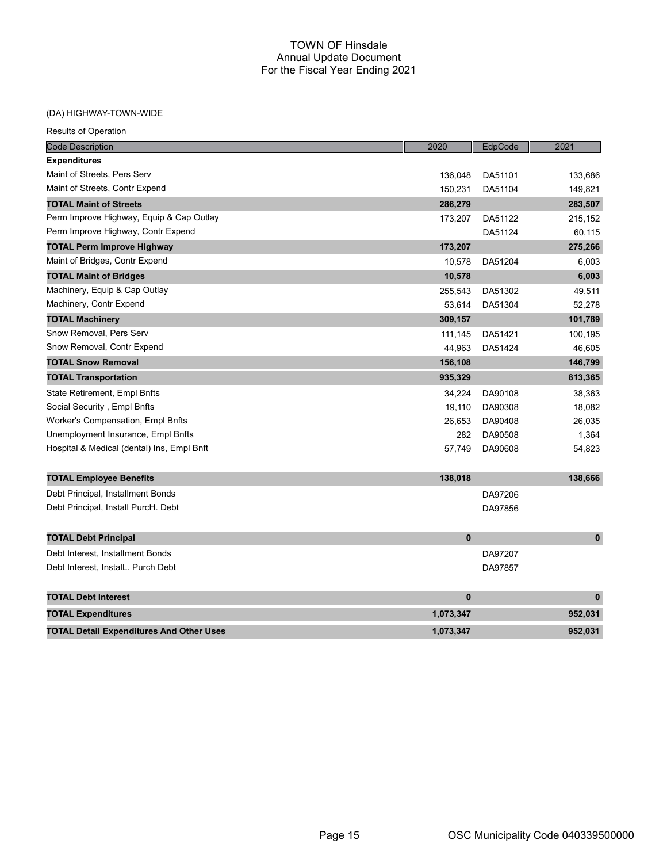### (DA) HIGHWAY-TOWN-WIDE

| <b>Code Description</b>                         | 2020        | EdpCode | 2021         |
|-------------------------------------------------|-------------|---------|--------------|
| <b>Expenditures</b>                             |             |         |              |
| Maint of Streets, Pers Serv                     | 136,048     | DA51101 | 133,686      |
| Maint of Streets, Contr Expend                  | 150,231     | DA51104 | 149,821      |
| <b>TOTAL Maint of Streets</b>                   | 286,279     |         | 283,507      |
| Perm Improve Highway, Equip & Cap Outlay        | 173,207     | DA51122 | 215,152      |
| Perm Improve Highway, Contr Expend              |             | DA51124 | 60,115       |
| <b>TOTAL Perm Improve Highway</b>               | 173,207     |         | 275,266      |
| Maint of Bridges, Contr Expend                  | 10,578      | DA51204 | 6,003        |
| <b>TOTAL Maint of Bridges</b>                   | 10,578      |         | 6,003        |
| Machinery, Equip & Cap Outlay                   | 255,543     | DA51302 | 49,511       |
| Machinery, Contr Expend                         | 53,614      | DA51304 | 52,278       |
| <b>TOTAL Machinery</b>                          | 309,157     |         | 101,789      |
| Snow Removal, Pers Serv                         | 111,145     | DA51421 | 100,195      |
| Snow Removal, Contr Expend                      | 44,963      | DA51424 | 46,605       |
| <b>TOTAL Snow Removal</b>                       | 156,108     |         | 146,799      |
| <b>TOTAL Transportation</b>                     | 935,329     |         | 813,365      |
| State Retirement, Empl Bnfts                    | 34,224      | DA90108 | 38,363       |
| Social Security, Empl Bnfts                     | 19,110      | DA90308 | 18,082       |
| Worker's Compensation, Empl Bnfts               | 26,653      | DA90408 | 26,035       |
| Unemployment Insurance, Empl Bnfts              | 282         | DA90508 | 1,364        |
| Hospital & Medical (dental) Ins, Empl Bnft      | 57,749      | DA90608 | 54,823       |
| <b>TOTAL Employee Benefits</b>                  | 138,018     |         | 138,666      |
| Debt Principal, Installment Bonds               |             | DA97206 |              |
| Debt Principal, Install PurcH. Debt             |             | DA97856 |              |
| <b>TOTAL Debt Principal</b>                     | $\mathbf 0$ |         | $\pmb{0}$    |
| Debt Interest, Installment Bonds                |             | DA97207 |              |
| Debt Interest, InstalL. Purch Debt              |             | DA97857 |              |
| <b>TOTAL Debt Interest</b>                      | $\mathbf 0$ |         | $\mathbf{0}$ |
| <b>TOTAL Expenditures</b>                       | 1,073,347   |         | 952,031      |
| <b>TOTAL Detail Expenditures And Other Uses</b> | 1,073,347   |         | 952.031      |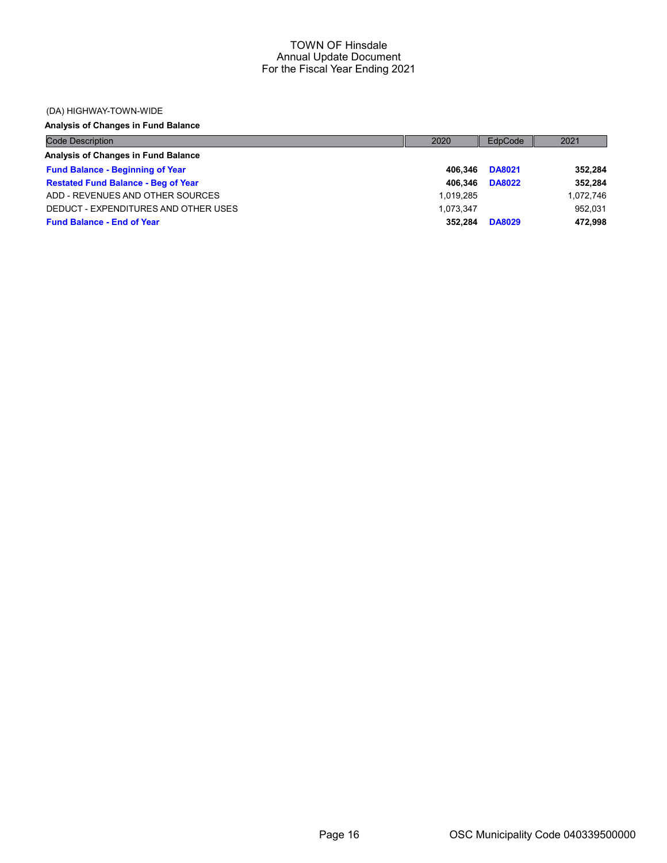#### (DA) HIGHWAY-TOWN-WIDE

# Analysis of Changes in Fund Balance

| <b>Code Description</b>                    | 2020      | EdpCode       | 2021      |
|--------------------------------------------|-----------|---------------|-----------|
| Analysis of Changes in Fund Balance        |           |               |           |
| <b>Fund Balance - Beginning of Year</b>    | 406.346   | <b>DA8021</b> | 352,284   |
| <b>Restated Fund Balance - Beg of Year</b> | 406.346   | <b>DA8022</b> | 352,284   |
| ADD - REVENUES AND OTHER SOURCES           | 1.019.285 |               | 1,072,746 |
| DEDUCT - EXPENDITURES AND OTHER USES       | 1.073.347 |               | 952.031   |
| <b>Fund Balance - End of Year</b>          | 352.284   | <b>DA8029</b> | 472.998   |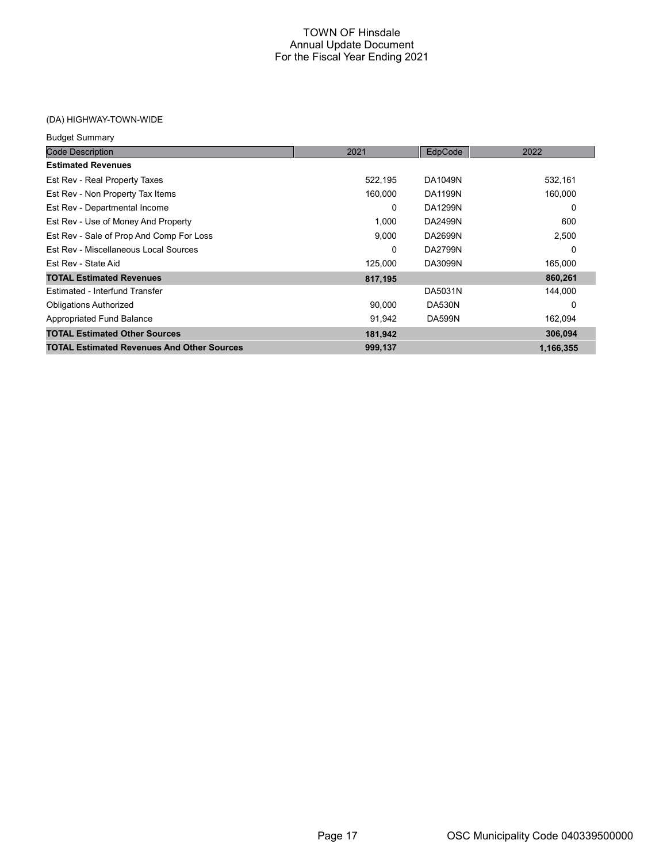| <b>Budget Summary</b>                             |          |                |           |
|---------------------------------------------------|----------|----------------|-----------|
| <b>Code Description</b>                           | 2021     | EdpCode        | 2022      |
| <b>Estimated Revenues</b>                         |          |                |           |
| Est Rev - Real Property Taxes                     | 522,195  | DA1049N        | 532,161   |
| Est Rev - Non Property Tax Items                  | 160,000  | <b>DA1199N</b> | 160,000   |
| Est Rev - Departmental Income                     | 0        | DA1299N        | 0         |
| Est Rev - Use of Money And Property               | 1,000    | DA2499N        | 600       |
| Est Rev - Sale of Prop And Comp For Loss          | 9,000    | DA2699N        | 2,500     |
| Est Rev - Miscellaneous Local Sources             | $\Omega$ | DA2799N        | 0         |
| Est Rev - State Aid                               | 125,000  | DA3099N        | 165,000   |
| <b>TOTAL Estimated Revenues</b>                   | 817,195  |                | 860,261   |
| Estimated - Interfund Transfer                    |          | DA5031N        | 144,000   |
| <b>Obligations Authorized</b>                     | 90,000   | <b>DA530N</b>  | 0         |
| Appropriated Fund Balance                         | 91,942   | <b>DA599N</b>  | 162,094   |
| <b>TOTAL Estimated Other Sources</b>              | 181,942  |                | 306,094   |
| <b>TOTAL Estimated Revenues And Other Sources</b> | 999,137  |                | 1,166,355 |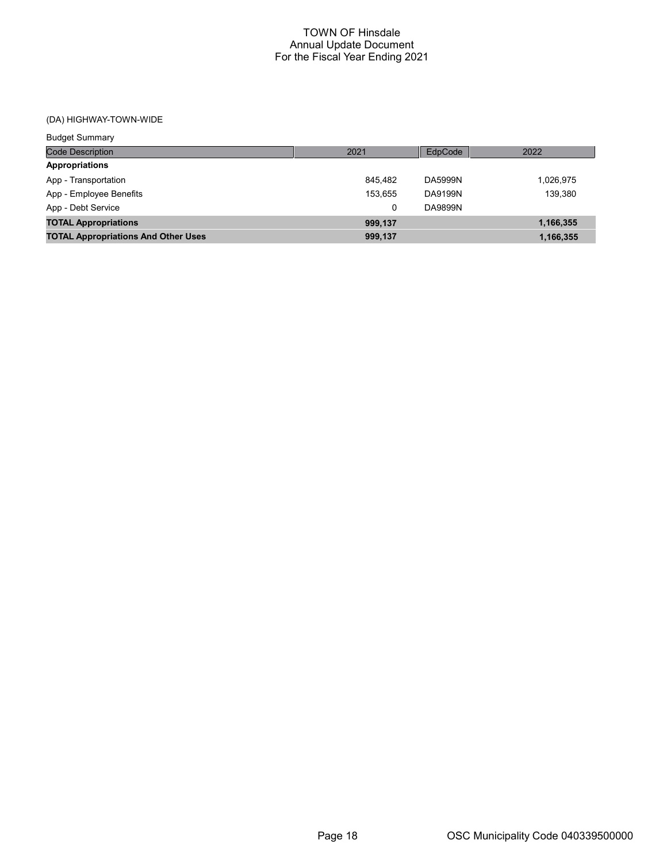| <b>Budget Summary</b>                      |         |                |           |
|--------------------------------------------|---------|----------------|-----------|
| <b>Code Description</b>                    | 2021    | EdpCode        | 2022      |
| <b>Appropriations</b>                      |         |                |           |
| App - Transportation                       | 845.482 | <b>DA5999N</b> | 1,026,975 |
| App - Employee Benefits                    | 153.655 | DA9199N        | 139,380   |
| App - Debt Service                         | 0       | DA9899N        |           |
| <b>TOTAL Appropriations</b>                | 999,137 |                | 1,166,355 |
| <b>TOTAL Appropriations And Other Uses</b> | 999,137 |                | 1,166,355 |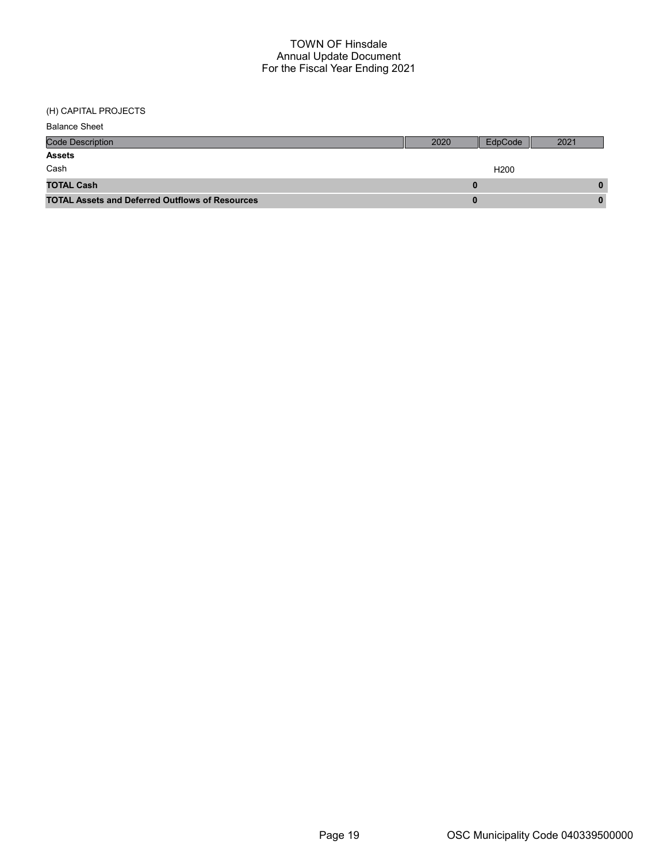(H) CAPITAL PROJECTS

| <b>Balance Sheet</b>                                   |      |                  |      |
|--------------------------------------------------------|------|------------------|------|
| <b>Code Description</b>                                | 2020 | EdpCode          | 2021 |
| <b>Assets</b>                                          |      |                  |      |
| Cash                                                   |      | H <sub>200</sub> |      |
| <b>TOTAL Cash</b>                                      |      |                  |      |
| <b>TOTAL Assets and Deferred Outflows of Resources</b> |      |                  |      |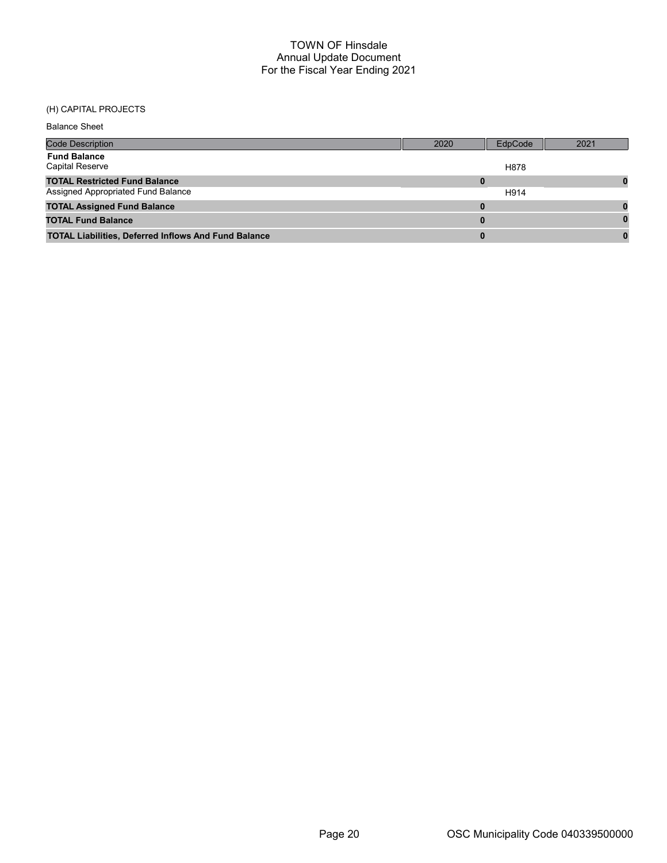#### (H) CAPITAL PROJECTS

| <b>Balance Sheet</b>                                        |      |         |      |
|-------------------------------------------------------------|------|---------|------|
| <b>Code Description</b>                                     | 2020 | EdpCode | 2021 |
| <b>Fund Balance</b><br><b>Capital Reserve</b>               |      | H878    |      |
| <b>TOTAL Restricted Fund Balance</b>                        | 0    |         |      |
| Assigned Appropriated Fund Balance                          |      | H914    |      |
| <b>TOTAL Assigned Fund Balance</b>                          | 0    |         |      |
| <b>TOTAL Fund Balance</b>                                   | 0    |         |      |
| <b>TOTAL Liabilities, Deferred Inflows And Fund Balance</b> | 0    |         |      |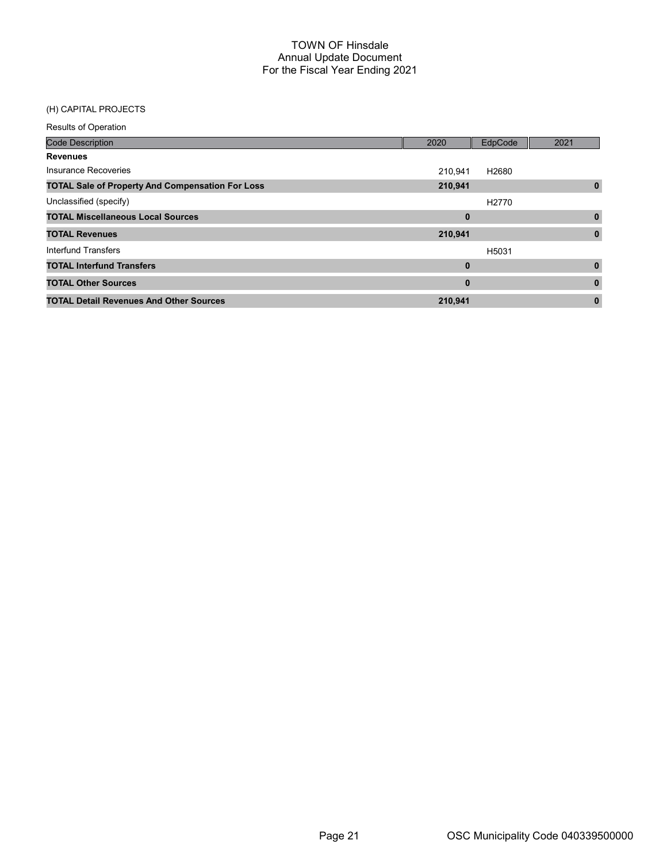### (H) CAPITAL PROJECTS

| <b>Code Description</b>                                 | 2020     | EdpCode           | 2021         |
|---------------------------------------------------------|----------|-------------------|--------------|
| <b>Revenues</b>                                         |          |                   |              |
| Insurance Recoveries                                    | 210.941  | H2680             |              |
| <b>TOTAL Sale of Property And Compensation For Loss</b> | 210,941  |                   | $\bf{0}$     |
| Unclassified (specify)                                  |          | H <sub>2770</sub> |              |
| <b>TOTAL Miscellaneous Local Sources</b>                | $\bf{0}$ |                   | 0            |
| <b>TOTAL Revenues</b>                                   | 210,941  |                   | $\mathbf{0}$ |
| Interfund Transfers                                     |          | H5031             |              |
| <b>TOTAL Interfund Transfers</b>                        | $\bf{0}$ |                   | $\bf{0}$     |
| <b>TOTAL Other Sources</b>                              | $\bf{0}$ |                   | $\bf{0}$     |
| <b>TOTAL Detail Revenues And Other Sources</b>          | 210,941  |                   | $\bf{0}$     |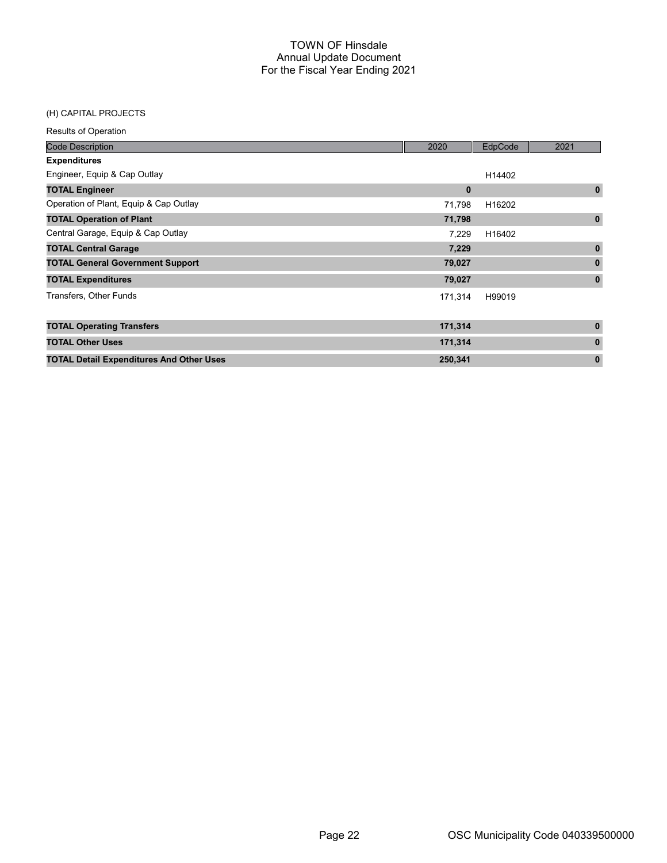#### (H) CAPITAL PROJECTS

| <b>Code Description</b>                         | 2020     | EdpCode | 2021         |
|-------------------------------------------------|----------|---------|--------------|
| <b>Expenditures</b>                             |          |         |              |
| Engineer, Equip & Cap Outlay                    |          | H14402  |              |
| <b>TOTAL Engineer</b>                           | $\bf{0}$ |         | $\mathbf 0$  |
| Operation of Plant, Equip & Cap Outlay          | 71,798   | H16202  |              |
| <b>TOTAL Operation of Plant</b>                 | 71,798   |         | $\mathbf{0}$ |
| Central Garage, Equip & Cap Outlay              | 7,229    | H16402  |              |
| <b>TOTAL Central Garage</b>                     | 7,229    |         | $\mathbf{0}$ |
| <b>TOTAL General Government Support</b>         | 79,027   |         | $\mathbf{0}$ |
| <b>TOTAL Expenditures</b>                       | 79,027   |         | $\mathbf 0$  |
| Transfers, Other Funds                          | 171,314  | H99019  |              |
| <b>TOTAL Operating Transfers</b>                | 171,314  |         | $\mathbf{0}$ |
| <b>TOTAL Other Uses</b>                         | 171,314  |         | $\bf{0}$     |
| <b>TOTAL Detail Expenditures And Other Uses</b> | 250,341  |         | $\pmb{0}$    |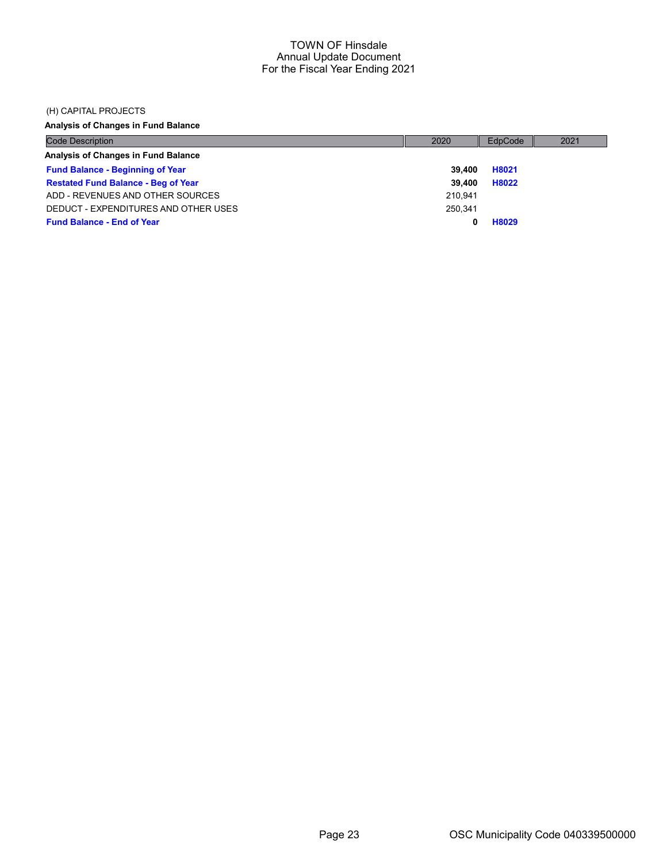#### (H) CAPITAL PROJECTS

# Analysis of Changes in Fund Balance

| <b>Code Description</b>                    | 2020    | EdpCode | 2021 |
|--------------------------------------------|---------|---------|------|
| Analysis of Changes in Fund Balance        |         |         |      |
| <b>Fund Balance - Beginning of Year</b>    | 39.400  | H8021   |      |
| <b>Restated Fund Balance - Beg of Year</b> | 39.400  | H8022   |      |
| ADD - REVENUES AND OTHER SOURCES           | 210.941 |         |      |
| DEDUCT - EXPENDITURES AND OTHER USES       | 250.341 |         |      |
| <b>Fund Balance - End of Year</b>          |         | H8029   |      |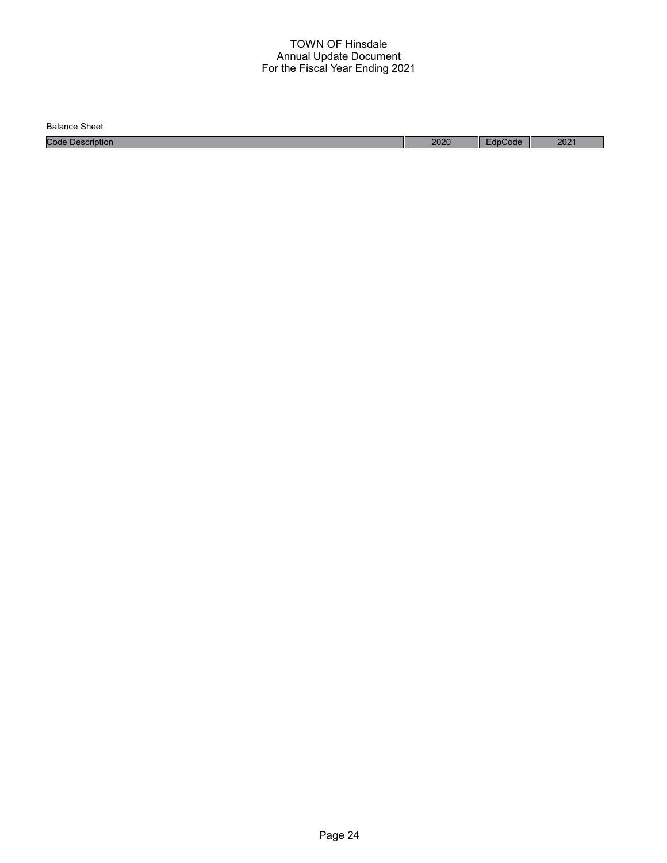Balance Sheet

Code Description 2020 EdpCode 2021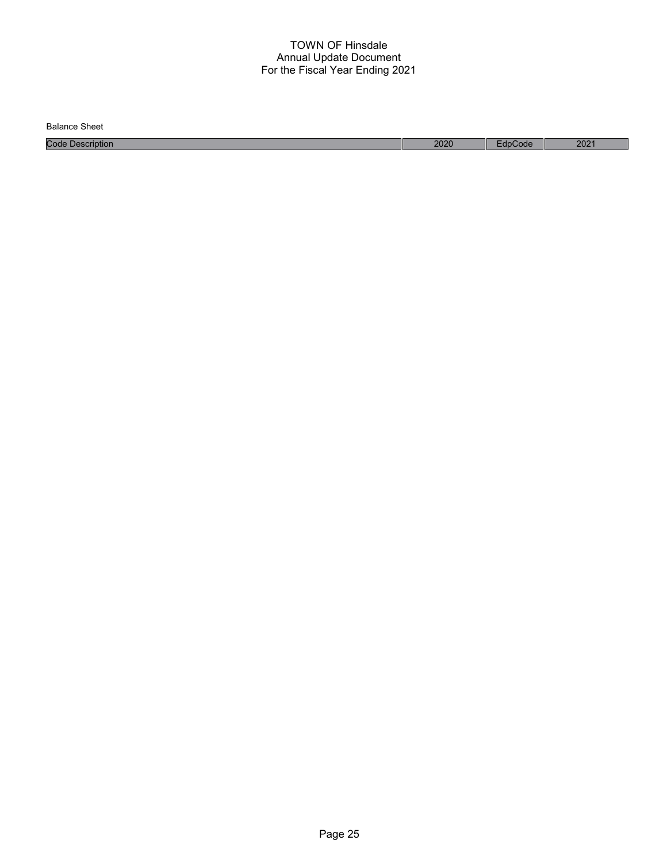| Balance<br>Sheet    |      |     |                           |
|---------------------|------|-----|---------------------------|
| Code<br>Description | 2020 | ode | 202 <sup>1</sup><br>ZUZ I |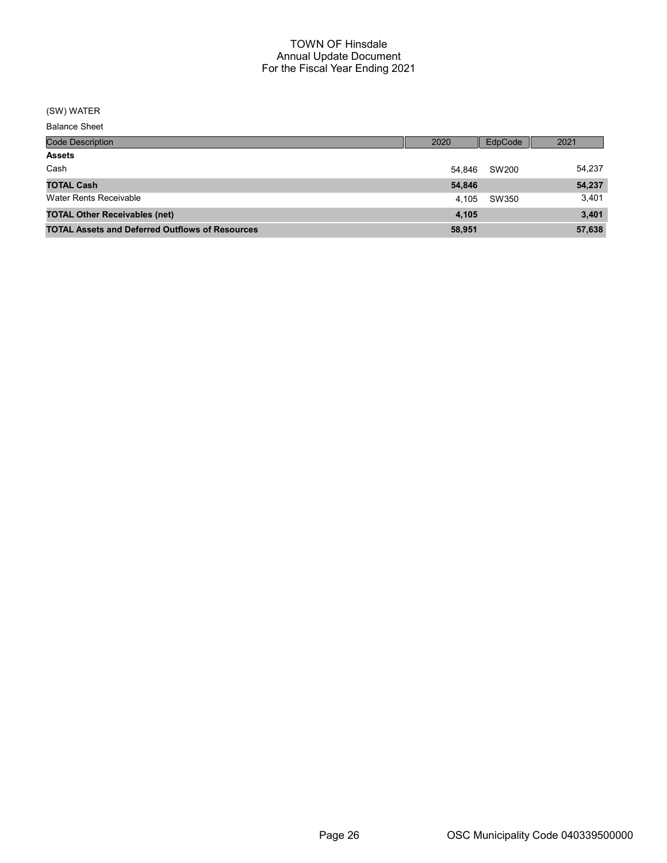### (SW) WATER

Balance Sheet

| <b>Code Description</b>                                | 2020   | EdpCode | 2021   |
|--------------------------------------------------------|--------|---------|--------|
| <b>Assets</b>                                          |        |         |        |
| Cash                                                   | 54.846 | SW200   | 54,237 |
| <b>TOTAL Cash</b>                                      | 54,846 |         | 54,237 |
| Water Rents Receivable                                 | 4.105  | SW350   | 3,401  |
| <b>TOTAL Other Receivables (net)</b>                   | 4,105  |         | 3,401  |
| <b>TOTAL Assets and Deferred Outflows of Resources</b> | 58,951 |         | 57,638 |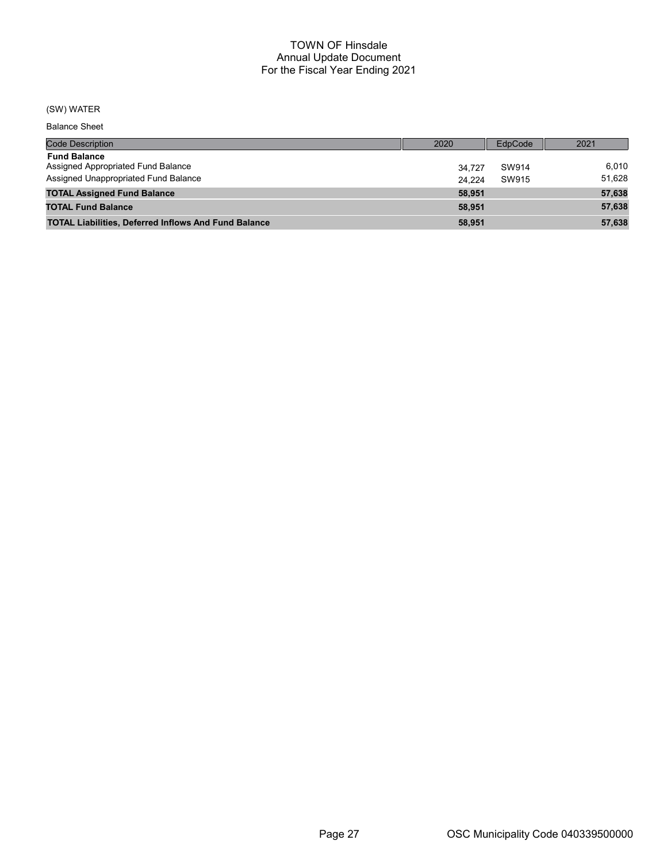### (SW) WATER

Balance Sheet

| <b>Code Description</b>                                     | 2020   | EdpCode | 2021   |
|-------------------------------------------------------------|--------|---------|--------|
| <b>Fund Balance</b>                                         |        |         |        |
| Assigned Appropriated Fund Balance                          | 34.727 | SW914   | 6.010  |
| Assigned Unappropriated Fund Balance                        | 24.224 | SW915   | 51,628 |
| <b>TOTAL Assigned Fund Balance</b>                          | 58.951 |         | 57,638 |
| <b>TOTAL Fund Balance</b>                                   | 58.951 |         | 57,638 |
| <b>TOTAL Liabilities, Deferred Inflows And Fund Balance</b> | 58.951 |         | 57,638 |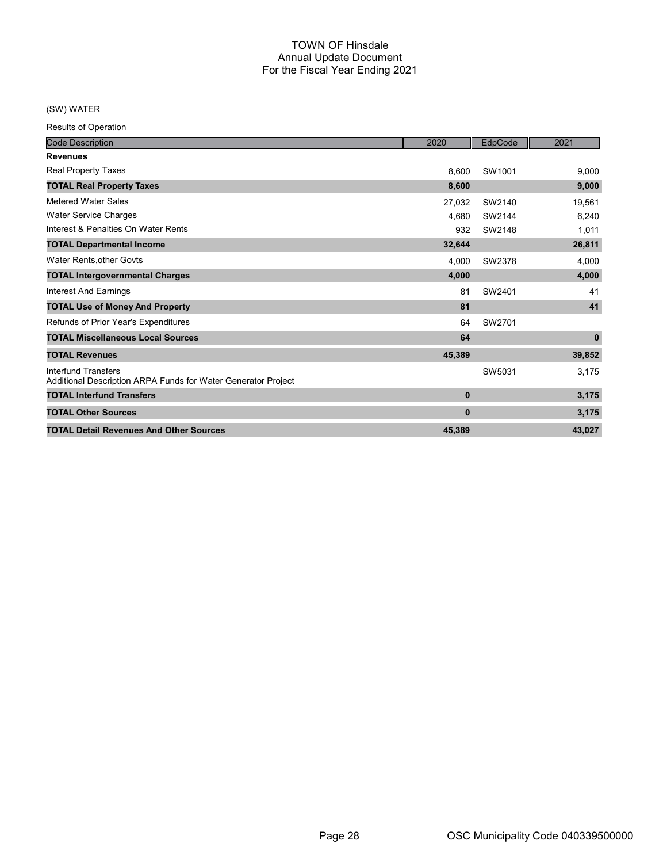### (SW) WATER

| <b>Code Description</b>                                                                     | 2020         | EdpCode | 2021         |
|---------------------------------------------------------------------------------------------|--------------|---------|--------------|
| <b>Revenues</b>                                                                             |              |         |              |
| Real Property Taxes                                                                         | 8,600        | SW1001  | 9,000        |
| <b>TOTAL Real Property Taxes</b>                                                            | 8,600        |         | 9,000        |
| <b>Metered Water Sales</b>                                                                  | 27,032       | SW2140  | 19,561       |
| <b>Water Service Charges</b>                                                                | 4,680        | SW2144  | 6,240        |
| Interest & Penalties On Water Rents                                                         | 932          | SW2148  | 1,011        |
| <b>TOTAL Departmental Income</b>                                                            | 32,644       |         | 26,811       |
| Water Rents, other Govts                                                                    | 4,000        | SW2378  | 4,000        |
| <b>TOTAL Intergovernmental Charges</b>                                                      | 4,000        |         | 4,000        |
| <b>Interest And Earnings</b>                                                                | 81           | SW2401  | 41           |
| <b>TOTAL Use of Money And Property</b>                                                      | 81           |         | 41           |
| Refunds of Prior Year's Expenditures                                                        | 64           | SW2701  |              |
| <b>TOTAL Miscellaneous Local Sources</b>                                                    | 64           |         | $\mathbf{0}$ |
| <b>TOTAL Revenues</b>                                                                       | 45,389       |         | 39,852       |
| <b>Interfund Transfers</b><br>Additional Description ARPA Funds for Water Generator Project |              | SW5031  | 3,175        |
| <b>TOTAL Interfund Transfers</b>                                                            | $\mathbf{0}$ |         | 3,175        |
| <b>TOTAL Other Sources</b>                                                                  | $\bf{0}$     |         | 3,175        |
| <b>TOTAL Detail Revenues And Other Sources</b>                                              | 45,389       |         | 43,027       |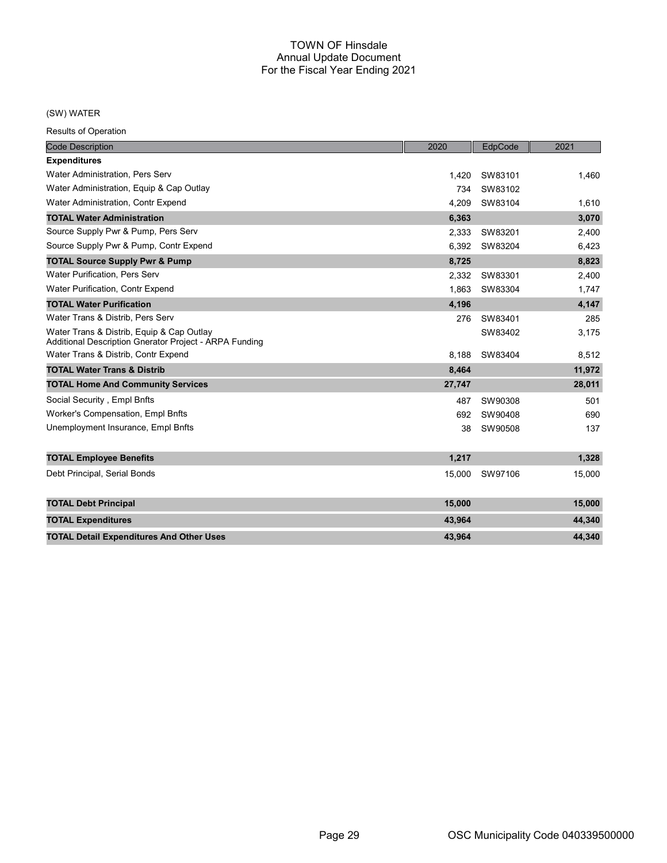### (SW) WATER

| <b>Code Description</b>                                                                             | 2020   | EdpCode | 2021   |
|-----------------------------------------------------------------------------------------------------|--------|---------|--------|
| <b>Expenditures</b>                                                                                 |        |         |        |
| Water Administration, Pers Serv                                                                     | 1.420  | SW83101 | 1.460  |
| Water Administration, Equip & Cap Outlay                                                            | 734    | SW83102 |        |
| Water Administration, Contr Expend                                                                  | 4,209  | SW83104 | 1,610  |
| <b>TOTAL Water Administration</b>                                                                   | 6,363  |         | 3,070  |
| Source Supply Pwr & Pump, Pers Serv                                                                 | 2.333  | SW83201 | 2,400  |
| Source Supply Pwr & Pump, Contr Expend                                                              | 6.392  | SW83204 | 6,423  |
| <b>TOTAL Source Supply Pwr &amp; Pump</b>                                                           | 8,725  |         | 8,823  |
| <b>Water Purification, Pers Serv</b>                                                                | 2.332  | SW83301 | 2,400  |
| Water Purification, Contr Expend                                                                    | 1.863  | SW83304 | 1,747  |
| <b>TOTAL Water Purification</b>                                                                     | 4,196  |         | 4,147  |
| Water Trans & Distrib. Pers Serv                                                                    | 276    | SW83401 | 285    |
| Water Trans & Distrib, Equip & Cap Outlay<br>Additional Description Gnerator Project - ARPA Funding |        | SW83402 | 3,175  |
| Water Trans & Distrib, Contr Expend                                                                 | 8,188  | SW83404 | 8,512  |
| <b>TOTAL Water Trans &amp; Distrib</b>                                                              | 8,464  |         | 11,972 |
| <b>TOTAL Home And Community Services</b>                                                            | 27,747 |         | 28,011 |
| Social Security, Empl Bnfts                                                                         | 487    | SW90308 | 501    |
| <b>Worker's Compensation, Empl Bnfts</b>                                                            | 692    | SW90408 | 690    |
| Unemployment Insurance, Empl Bnfts                                                                  | 38     | SW90508 | 137    |
| <b>TOTAL Employee Benefits</b>                                                                      | 1,217  |         | 1,328  |
| Debt Principal, Serial Bonds                                                                        | 15,000 | SW97106 | 15,000 |
| <b>TOTAL Debt Principal</b>                                                                         | 15,000 |         | 15,000 |
| <b>TOTAL Expenditures</b>                                                                           | 43,964 |         | 44,340 |
| <b>TOTAL Detail Expenditures And Other Uses</b>                                                     | 43,964 |         | 44,340 |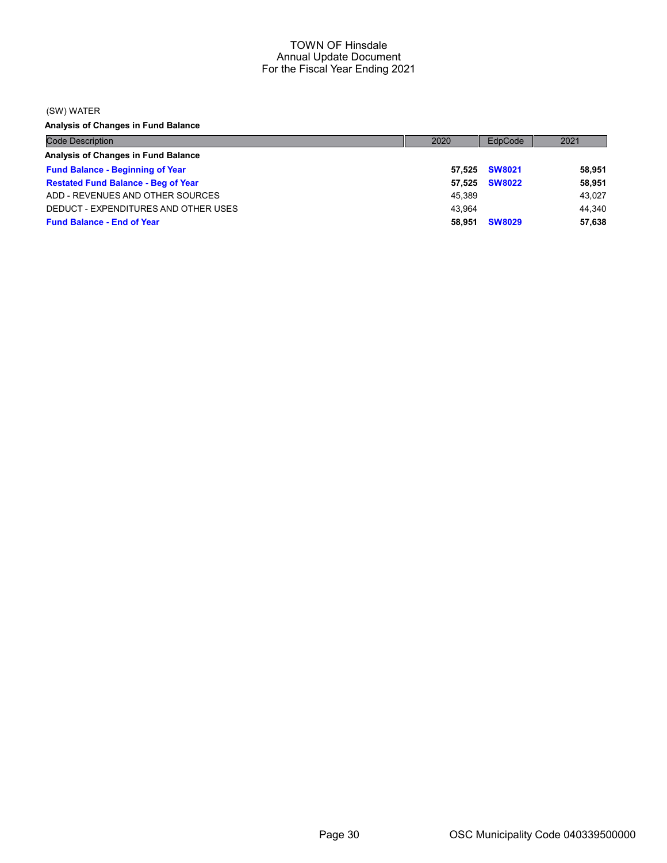(SW) WATER

Analysis of Changes in Fund Balance

| <b>Code Description</b>                    | 2020   | EdpCode       | 2021   |
|--------------------------------------------|--------|---------------|--------|
| Analysis of Changes in Fund Balance        |        |               |        |
| <b>Fund Balance - Beginning of Year</b>    |        | 57.525 SW8021 | 58,951 |
| <b>Restated Fund Balance - Beg of Year</b> | 57.525 | <b>SW8022</b> | 58,951 |
| ADD - REVENUES AND OTHER SOURCES           | 45.389 |               | 43.027 |
| DEDUCT - EXPENDITURES AND OTHER USES       | 43.964 |               | 44.340 |
| <b>Fund Balance - End of Year</b>          | 58.951 | <b>SW8029</b> | 57,638 |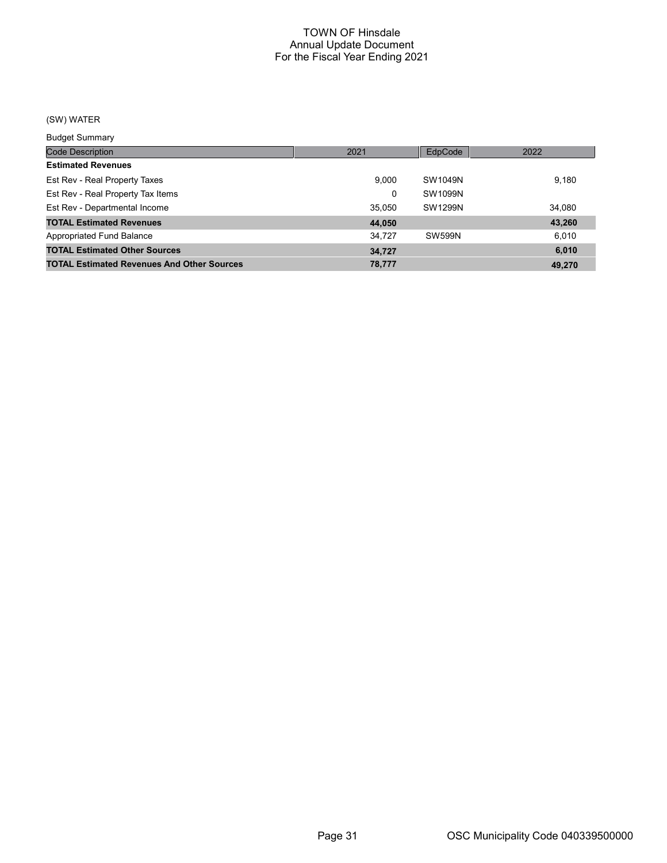# (SW) WATER

Budget Summary

| <u>Baagot Sariiriar</u>                           |        |               |        |
|---------------------------------------------------|--------|---------------|--------|
| <b>Code Description</b>                           | 2021   | EdpCode       | 2022   |
| <b>Estimated Revenues</b>                         |        |               |        |
| Est Rev - Real Property Taxes                     | 9.000  | SW1049N       | 9.180  |
| Est Rev - Real Property Tax Items                 | 0      | SW1099N       |        |
| Est Rev - Departmental Income                     | 35.050 | SW1299N       | 34,080 |
| <b>TOTAL Estimated Revenues</b>                   | 44,050 |               | 43.260 |
| Appropriated Fund Balance                         | 34.727 | <b>SW599N</b> | 6.010  |
| <b>TOTAL Estimated Other Sources</b>              | 34.727 |               | 6,010  |
| <b>TOTAL Estimated Revenues And Other Sources</b> | 78.777 |               | 49.270 |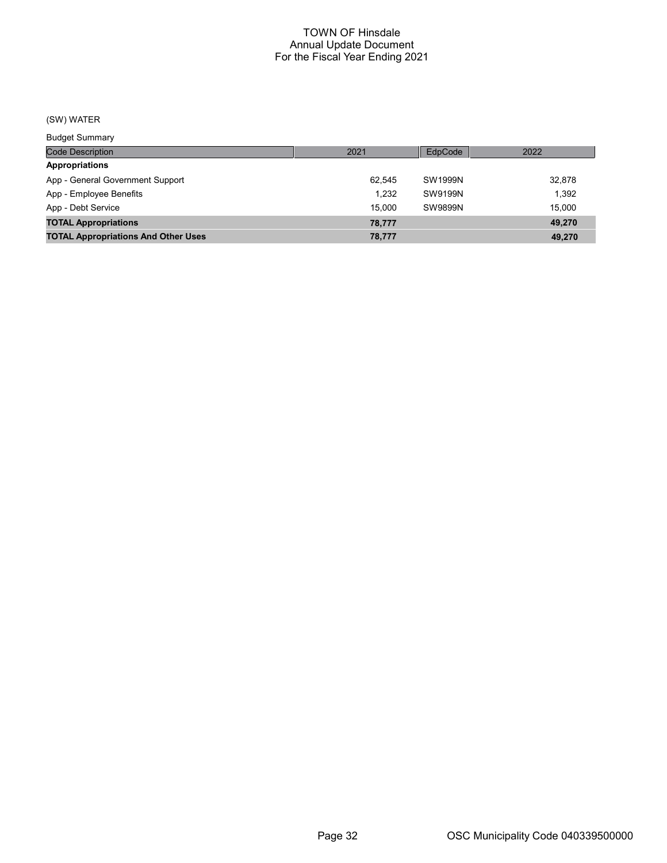# (SW) WATER

Budget Summary

| 2021   | EdpCode | 2022   |
|--------|---------|--------|
|        |         |        |
| 62.545 | SW1999N | 32,878 |
| 1.232  | SW9199N | 1.392  |
| 15.000 | SW9899N | 15.000 |
| 78.777 |         | 49.270 |
| 78.777 |         | 49.270 |
|        |         |        |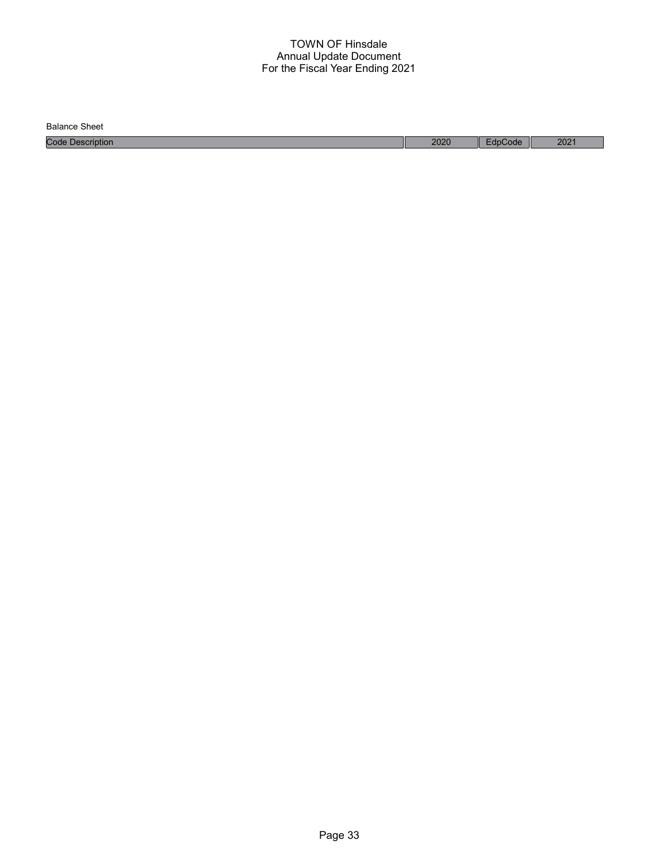Balance Sheet

Code Description 2020 EdpCode 2021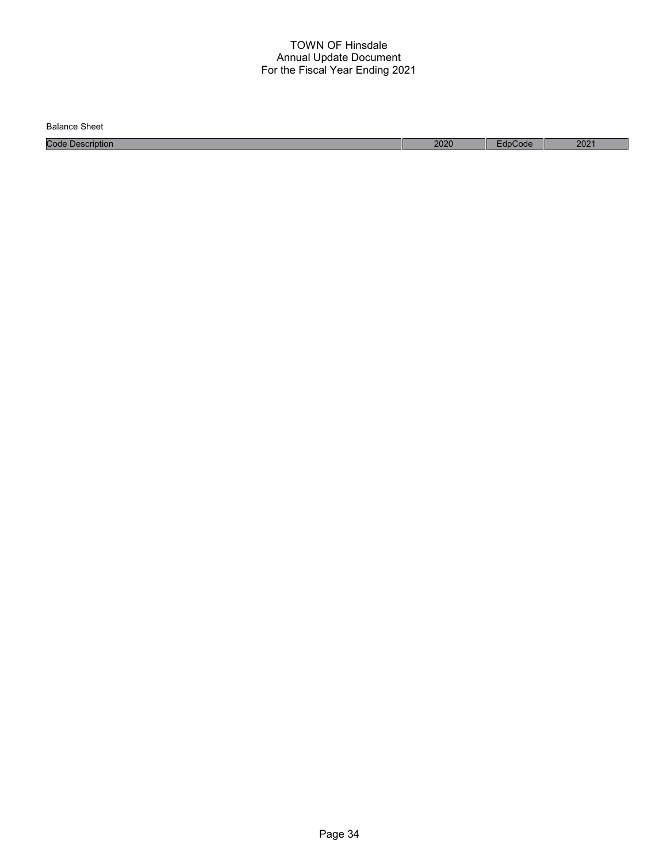| Balance<br>Sheet    |      |     |                           |
|---------------------|------|-----|---------------------------|
| Code<br>Description | 2020 | ode | 202 <sup>1</sup><br>ZUZ I |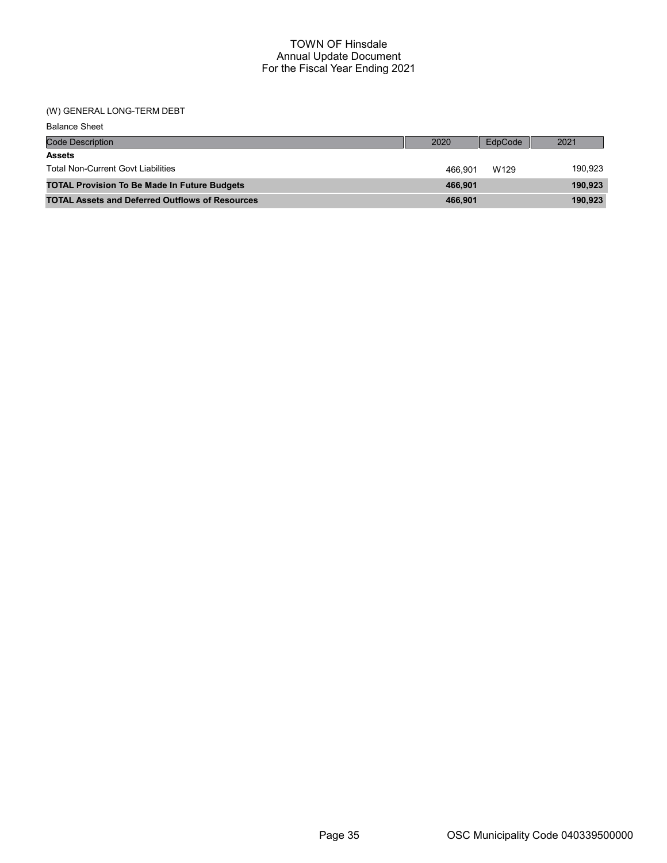### (W) GENERAL LONG-TERM DEBT

| <b>Balance Sheet</b>                                   |         |         |         |
|--------------------------------------------------------|---------|---------|---------|
| <b>Code Description</b>                                | 2020    | EdpCode | 2021    |
| <b>Assets</b>                                          |         |         |         |
| <b>Total Non-Current Govt Liabilities</b>              | 466.901 | W129    | 190,923 |
| <b>TOTAL Provision To Be Made In Future Budgets</b>    | 466.901 |         | 190.923 |
| <b>TOTAL Assets and Deferred Outflows of Resources</b> | 466,901 |         | 190,923 |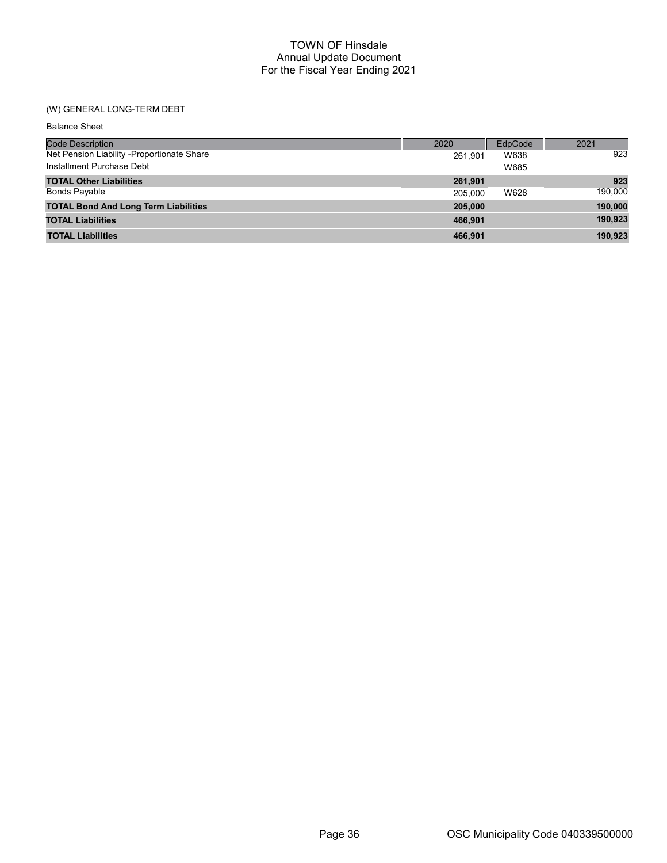## (W) GENERAL LONG-TERM DEBT

| <b>Balance Sheet</b>                        |         |         |         |
|---------------------------------------------|---------|---------|---------|
| <b>Code Description</b>                     | 2020    | EdpCode | 2021    |
| Net Pension Liability -Proportionate Share  | 261.901 | W638    | 923     |
| Installment Purchase Debt                   |         | W685    |         |
| <b>TOTAL Other Liabilities</b>              | 261,901 |         | 923     |
| <b>Bonds Payable</b>                        | 205.000 | W628    | 190,000 |
| <b>TOTAL Bond And Long Term Liabilities</b> | 205,000 |         | 190,000 |
| <b>TOTAL Liabilities</b>                    | 466,901 |         | 190,923 |
| <b>TOTAL Liabilities</b>                    | 466.901 |         | 190.923 |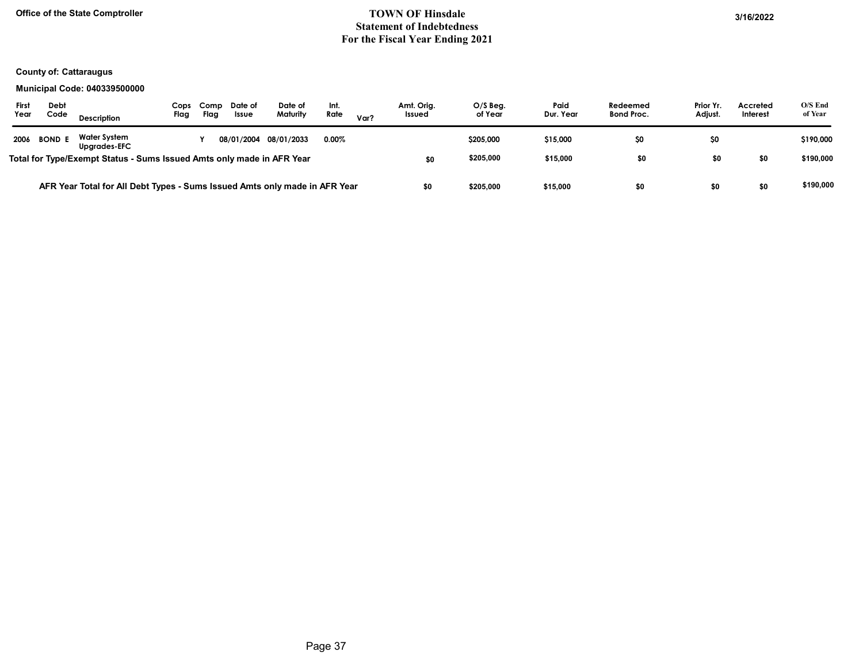# Office of the State Comptroller 3/16/2022 Statement of Indebtedness For the Fiscal Year Ending 2021

### County of: Cattaraugus

#### Municipal Code: 040339500000

| First<br>Year | Debt<br>Code  | <b>Description</b>                                                         | Cops<br>Flag | Comp<br>Flaa | Date of<br>Issue | Date of<br>Maturity   | Int.<br>Rate | Var? | Amt. Oria.<br>Issued | $O/S$ Beg.<br>of Year | Paid<br>Dur. Year | Redeemed<br><b>Bond Proc.</b> | Prior Yr.<br>Adjust. | Accreted<br>Interest | $O/S$ End<br>of Year |
|---------------|---------------|----------------------------------------------------------------------------|--------------|--------------|------------------|-----------------------|--------------|------|----------------------|-----------------------|-------------------|-------------------------------|----------------------|----------------------|----------------------|
| 2006          | <b>BOND E</b> | Water System<br><b>Uparades-EFC</b>                                        |              |              |                  | 08/01/2004 08/01/2033 | $0.00\%$     |      |                      | \$205,000             | \$15,000          | SO.                           | \$0                  |                      | \$190,000            |
|               |               | Total for Type/Exempt Status - Sums Issued Amts only made in AFR Year      |              |              |                  |                       |              |      | \$0                  | \$205,000             | \$15,000          | \$0                           | \$0                  | \$0                  | \$190,000            |
|               |               | AFR Year Total for All Debt Types - Sums Issued Amts only made in AFR Year |              |              |                  |                       |              |      | \$0                  | \$205,000             | \$15,000          |                               | \$0                  | \$0                  | \$190,000            |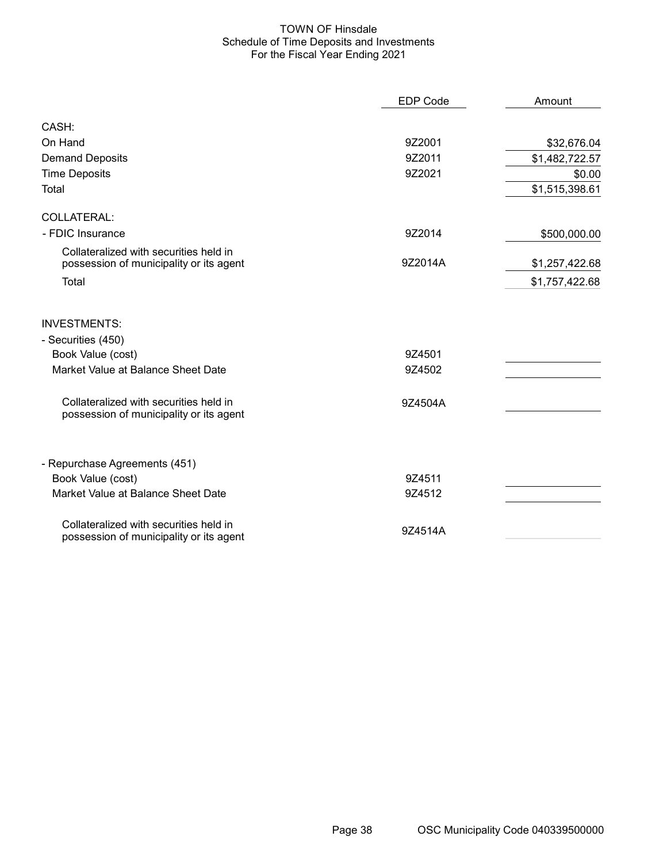### TOWN OF Hinsdale Schedule of Time Deposits and Investments For the Fiscal Year Ending 2021

|                                                                                   | <b>EDP Code</b> | Amount         |
|-----------------------------------------------------------------------------------|-----------------|----------------|
| CASH:                                                                             |                 |                |
| On Hand                                                                           | 9Z2001          | \$32,676.04    |
| <b>Demand Deposits</b>                                                            | 9Z2011          | \$1,482,722.57 |
| <b>Time Deposits</b>                                                              | 9Z2021          | \$0.00         |
| Total                                                                             |                 | \$1,515,398.61 |
| COLLATERAL:                                                                       |                 |                |
| - FDIC Insurance                                                                  | 9Z2014          | \$500,000.00   |
| Collateralized with securities held in<br>possession of municipality or its agent | 9Z2014A         | \$1,257,422.68 |
| Total                                                                             |                 | \$1,757,422.68 |
| <b>INVESTMENTS:</b><br>- Securities (450)                                         |                 |                |
| Book Value (cost)                                                                 | 9Z4501          |                |
| Market Value at Balance Sheet Date                                                | 9Z4502          |                |
| Collateralized with securities held in<br>possession of municipality or its agent | 9Z4504A         |                |
| - Repurchase Agreements (451)                                                     |                 |                |
| Book Value (cost)                                                                 | 9Z4511          |                |
| Market Value at Balance Sheet Date                                                | 9Z4512          |                |
| Collateralized with securities held in<br>possession of municipality or its agent | 9Z4514A         |                |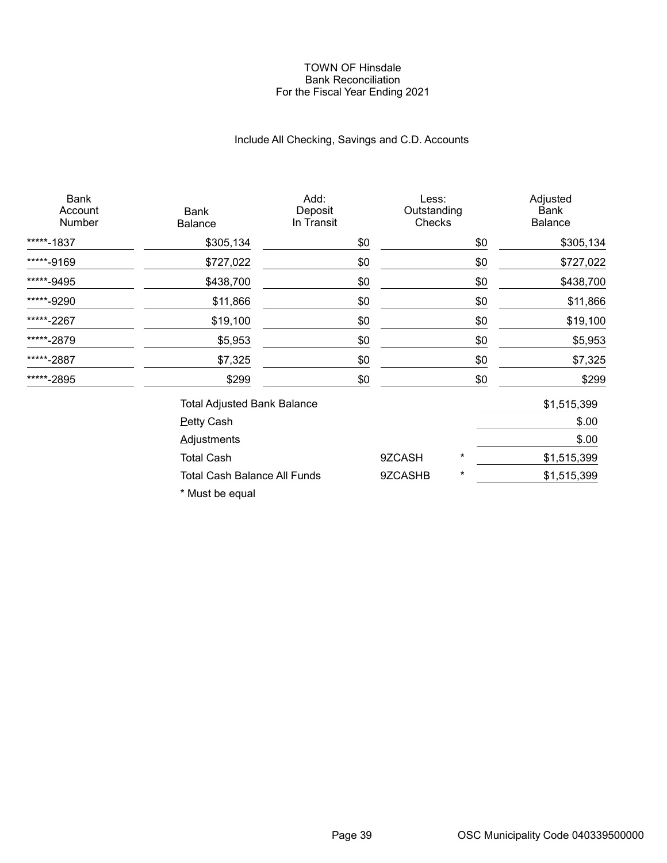#### TOWN OF Hinsdale Bank Reconciliation For the Fiscal Year Ending 2021

# Include All Checking, Savings and C.D. Accounts

| <b>Bank</b><br>Account<br>Number | Bank<br><b>Balance</b>              | Add:<br>Deposit<br>In Transit | Less:<br>Outstanding<br>Checks |     | Adjusted<br><b>Bank</b><br>Balance |
|----------------------------------|-------------------------------------|-------------------------------|--------------------------------|-----|------------------------------------|
| *****-1837                       | \$305,134                           | \$0                           |                                | \$0 | \$305,134                          |
| *****-9169                       | \$727,022                           | \$0                           |                                | \$0 | \$727,022                          |
| *****-9495                       | \$438,700                           | \$0                           |                                | \$0 | \$438,700                          |
| *****-9290                       | \$11,866                            | \$0                           |                                | \$0 | \$11,866                           |
| *****-2267                       | \$19,100                            | \$0                           |                                | \$0 | \$19,100                           |
| *****-2879                       | \$5,953                             | \$0                           |                                | \$0 | \$5,953                            |
| *****-2887                       | \$7,325                             | \$0                           |                                | \$0 | \$7,325                            |
| *****-2895                       | \$299                               | \$0                           | \$0                            |     | \$299                              |
|                                  | <b>Total Adjusted Bank Balance</b>  |                               |                                |     | \$1,515,399                        |
|                                  | <b>Petty Cash</b>                   |                               |                                |     | \$.00                              |
|                                  | <b>Adjustments</b>                  |                               |                                |     | \$.00                              |
|                                  | <b>Total Cash</b>                   |                               | 9ZCASH                         | *   | \$1,515,399                        |
|                                  | <b>Total Cash Balance All Funds</b> |                               | 9ZCASHB                        | *   | \$1,515,399                        |

\* Must be equal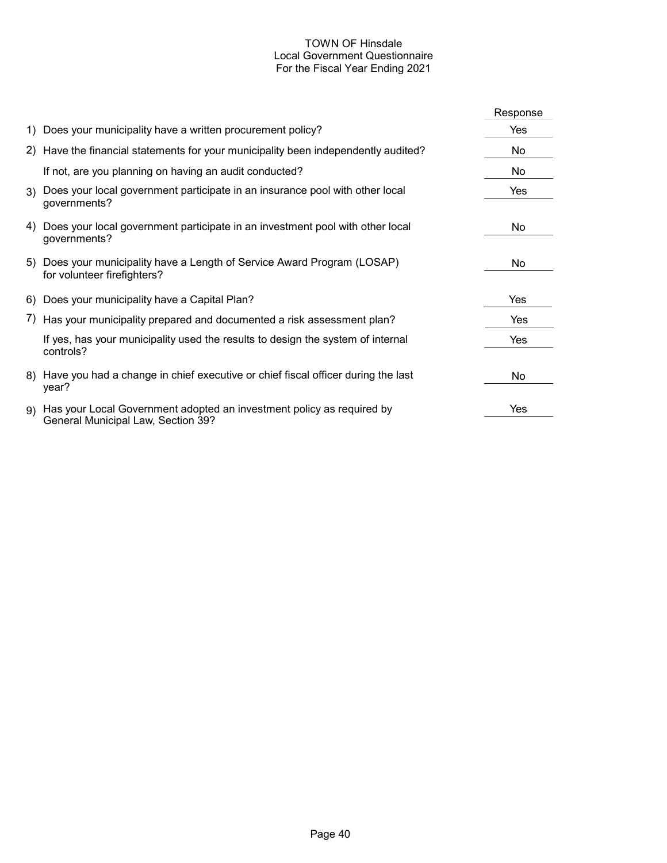### TOWN OF Hinsdale Local Government Questionnaire For the Fiscal Year Ending 2021

|                                                                                                                | Response |
|----------------------------------------------------------------------------------------------------------------|----------|
| 1) Does your municipality have a written procurement policy?                                                   | Yes      |
| 2) Have the financial statements for your municipality been independently audited?                             | No       |
| If not, are you planning on having an audit conducted?                                                         | No       |
| 3) Does your local government participate in an insurance pool with other local<br>governments?                | Yes      |
| 4) Does your local government participate in an investment pool with other local<br>governments?               | No       |
| 5) Does your municipality have a Length of Service Award Program (LOSAP)<br>for volunteer firefighters?        | No.      |
| 6) Does your municipality have a Capital Plan?                                                                 | Yes      |
| 7) Has your municipality prepared and documented a risk assessment plan?                                       | Yes      |
| If yes, has your municipality used the results to design the system of internal<br>controls?                   | Yes      |
| 8) Have you had a change in chief executive or chief fiscal officer during the last<br>year?                   | No       |
| 9) Has your Local Government adopted an investment policy as required by<br>General Municipal Law, Section 39? | Yes      |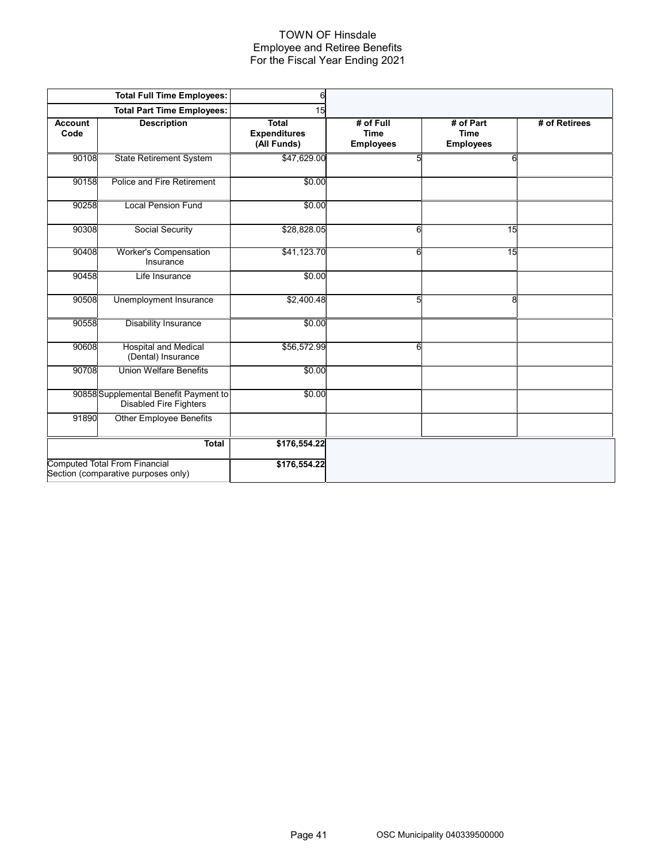#### TOWN OF Hinsdale Employee and Retiree Benefits For the Fiscal Year Ending 2021

|                        | <b>Total Full Time Employees:</b>                                           | 6                                                  |                                              |                                              |               |
|------------------------|-----------------------------------------------------------------------------|----------------------------------------------------|----------------------------------------------|----------------------------------------------|---------------|
|                        | <b>Total Part Time Employees:</b>                                           | 15                                                 |                                              |                                              |               |
| <b>Account</b><br>Code | <b>Description</b>                                                          | <b>Total</b><br><b>Expenditures</b><br>(All Funds) | # of Full<br><b>Time</b><br><b>Employees</b> | # of Part<br><b>Time</b><br><b>Employees</b> | # of Retirees |
| 90108                  | <b>State Retirement System</b>                                              | \$47,629.00                                        | 5                                            | 6                                            |               |
| 90158                  | Police and Fire Retirement                                                  | \$0.00                                             |                                              |                                              |               |
| 90258                  | <b>Local Pension Fund</b>                                                   | \$0.00                                             |                                              |                                              |               |
| 90308                  | Social Security                                                             | \$28,828.05                                        | 6                                            | 15                                           |               |
| 90408                  | <b>Worker's Compensation</b><br>Insurance                                   | \$41,123.70                                        | 6                                            | 15                                           |               |
| 90458                  | Life Insurance                                                              | \$0.00                                             |                                              |                                              |               |
| 90508                  | Unemployment Insurance                                                      | \$2,400.48                                         | 5                                            | 8                                            |               |
| 90558                  | <b>Disability Insurance</b>                                                 | \$0.00                                             |                                              |                                              |               |
| 90608                  | <b>Hospital and Medical</b><br>(Dental) Insurance                           | \$56,572.99                                        | 6                                            |                                              |               |
| 90708                  | <b>Union Welfare Benefits</b>                                               | \$0.00                                             |                                              |                                              |               |
|                        | 90858 Supplemental Benefit Payment to<br><b>Disabled Fire Fighters</b>      | \$0.00                                             |                                              |                                              |               |
| 91890                  | <b>Other Employee Benefits</b>                                              |                                                    |                                              |                                              |               |
|                        | <b>Total</b>                                                                | \$176,554.22                                       |                                              |                                              |               |
|                        | <b>Computed Total From Financial</b><br>Section (comparative purposes only) | \$176,554.22                                       |                                              |                                              |               |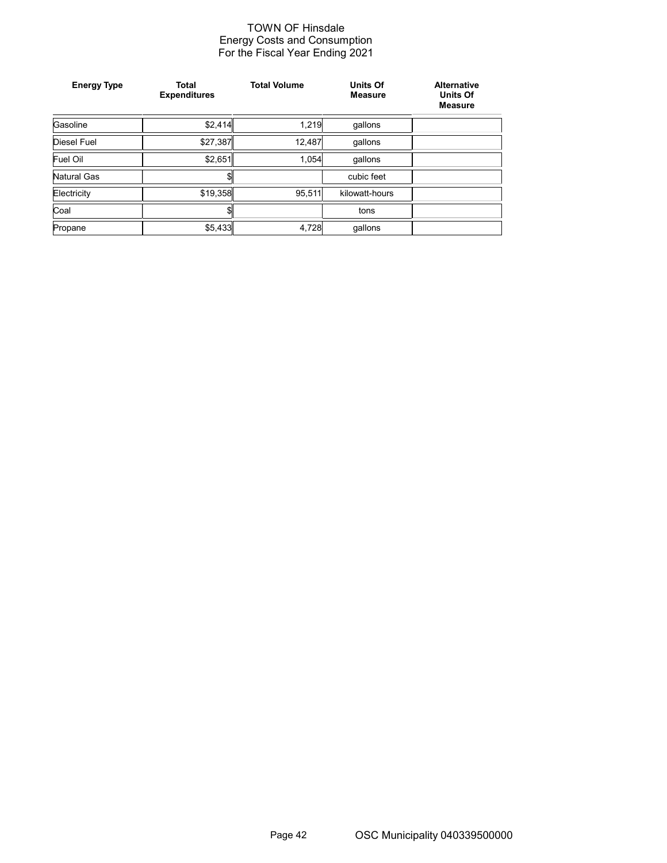#### TOWN OF Hinsdale Energy Costs and Consumption For the Fiscal Year Ending 2021

| <b>Energy Type</b> | <b>Total</b><br><b>Expenditures</b> | <b>Total Volume</b> | <b>Units Of</b><br><b>Measure</b> | <b>Alternative</b><br><b>Units Of</b><br><b>Measure</b> |
|--------------------|-------------------------------------|---------------------|-----------------------------------|---------------------------------------------------------|
| Gasoline           | \$2,414                             | 1,219               | gallons                           |                                                         |
| <b>Diesel Fuel</b> | \$27,387                            | 12,487              | gallons                           |                                                         |
| Fuel Oil           | \$2,651                             | 1,054               | qallons                           |                                                         |
| Natural Gas        | \$1                                 |                     | cubic feet                        |                                                         |
| Electricity        | \$19,358                            | 95.511              | kilowatt-hours                    |                                                         |
| Coal               | \$1                                 |                     | tons                              |                                                         |
| Propane            | \$5,433                             | 4,728               | gallons                           |                                                         |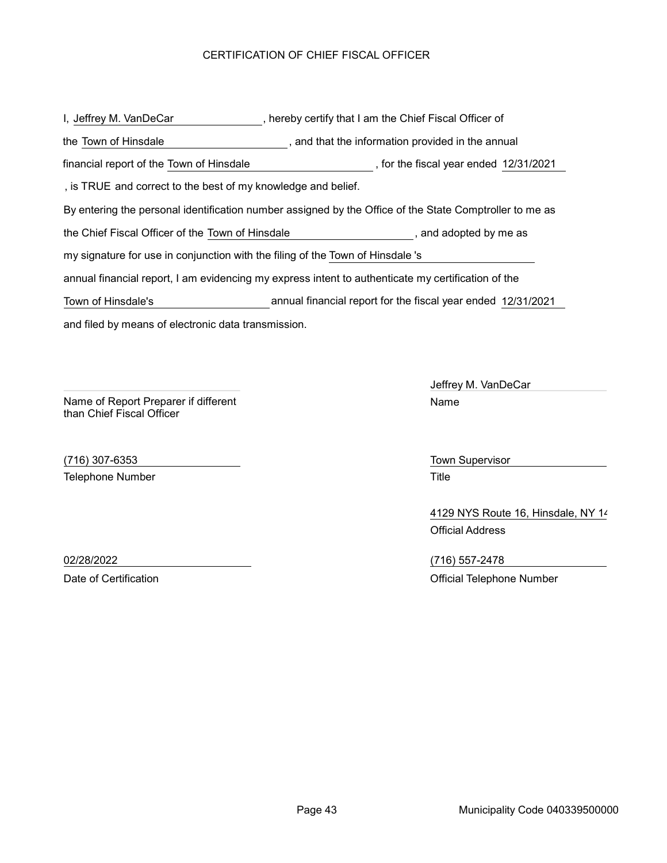# CERTIFICATION OF CHIEF FISCAL OFFICER

and filed by means of electronic data transmission. I, Jeffrey M. VanDeCar The Chief Fiscal Officer of By entering the personal identification number assigned by the Office of the State Comptroller to me as , and that the information provided in the annual the Town of Hinsdale the Chief Fiscal Officer of the Town of Hinsdale **the Chief Chief Fiscal Officer** of the Town of Hinsdale annual financial report, I am evidencing my express intent to authenticate my certification of the my signature for use in conjunction with the filing of the Town of Hinsdale 's , is TRUE and correct to the best of my knowledge and belief. financial report of the Town of Hinsdale **the Contract of the fiscal year ended** 12/31/2021 Town of Hinsdale's annual financial report for the fiscal year ended 12/31/2021

Name of Report Preparer if different than Chief Fiscal Officer

(716) 307-6353 Town Supervisor Telephone Number **Title** 

Jeffrey M. VanDeCar Name

4129 NYS Route 16, Hinsdale, NY 14 Official Address

02/28/2022 (716) 557-2478 Date of Certification **Date of Certification** Official Telephone Number

Page 43 Municipality Code 040339500000